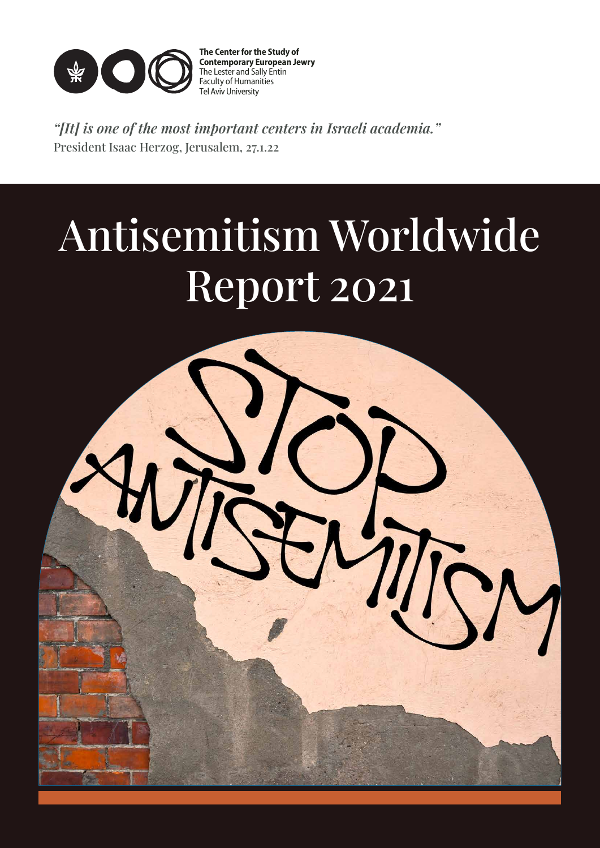

**The Center for the Study of Contemporary European Jewry** The Lester and Sally Entin Faculty of Humanities Tel Aviv University

"[It] is one of the most important centers in Israeli academia." President Isaac Herzog, Jerusalem, 27.1.22

# Antisemitism Worldwide Report 2021

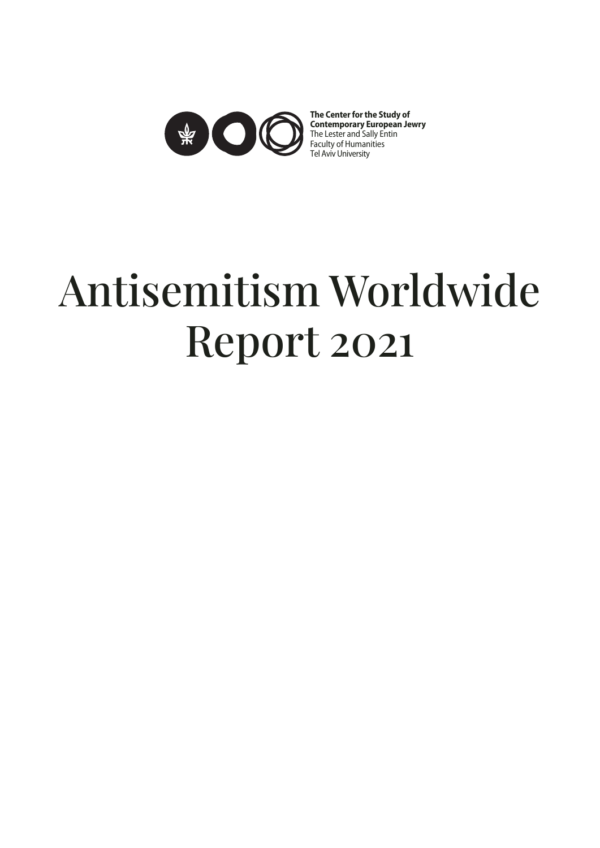

**The Center for the Study of Contemporary European Jewry** The Lester and Sally Entin Faculty of Humanities Tel Aviv University

# Antisemitism Worldwide Report 2021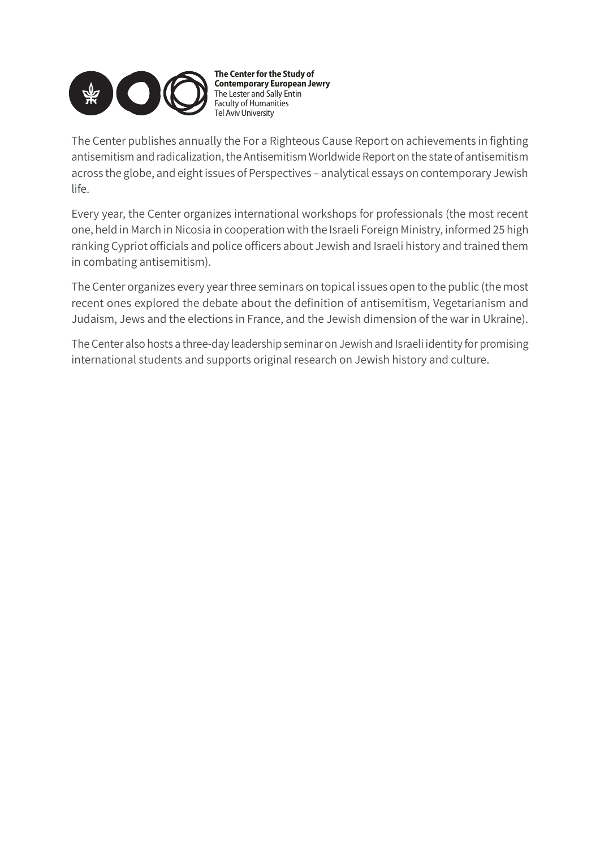

**The Center for the Study of Contemporary European Jewry** The Lester and Sally Entin Faculty of Humanities Tel Aviv University

The Center publishes annually the For a Righteous Cause Report on achievements in fighting antisemitism and radicalization, the Antisemitism Worldwide Report on the state of antisemitism across the globe, and eight issues of Perspectives – analytical essays on contemporary Jewish life.

Every year, the Center organizes international workshops for professionals (the most recent one, held in March in Nicosia in cooperation with the Israeli Foreign Ministry, informed 25 high ranking Cypriot officials and police officers about Jewish and Israeli history and trained them in combating antisemitism).

The Center organizes every year three seminars on topical issues open to the public (the most recent ones explored the debate about the definition of antisemitism, Vegetarianism and Judaism, Jews and the elections in France, and the Jewish dimension of the war in Ukraine).

The Center also hosts a three-day leadership seminar on Jewish and Israeli identity for promising international students and supports original research on Jewish history and culture.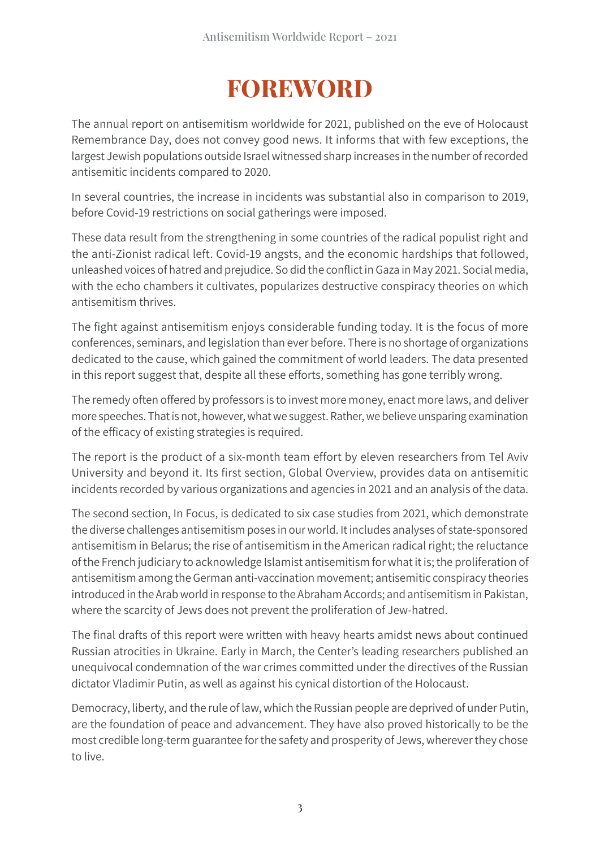## **FOREWORD**

The annual report on antisemitism worldwide for 2021, published on the eve of Holocaust Remembrance Day, does not convey good news. It informs that with few exceptions, the largest Jewish populations outside Israel witnessed sharp increases in the number of recorded antisemitic incidents compared to 2020.

In several countries, the increase in incidents was substantial also in comparison to 2019, before Covid-19 restrictions on social gatherings were imposed.

These data result from the strengthening in some countries of the radical populist right and the anti-Zionist radical left. Covid-19 angsts, and the economic hardships that followed, unleashed voices of hatred and prejudice. So did the conflict in Gaza in May 2021. Social media, with the echo chambers it cultivates, popularizes destructive conspiracy theories on which antisemitism thrives.

The fight against antisemitism enjoys considerable funding today. It is the focus of more conferences, seminars, and legislation than ever before. There is no shortage of organizations dedicated to the cause, which gained the commitment of world leaders. The data presented in this report suggest that, despite all these efforts, something has gone terribly wrong.

The remedy often offered by professors is to invest more money, enact more laws, and deliver more speeches. That is not, however, what we suggest. Rather, we believe unsparing examination of the efficacy of existing strategies is required.

The report is the product of a six-month team effort by eleven researchers from Tel Aviv University and beyond it. Its first section, Global Overview, provides data on antisemitic incidents recorded by various organizations and agencies in 2021 and an analysis of the data.

The second section, In Focus, is dedicated to six case studies from 2021, which demonstrate the diverse challenges antisemitism poses in our world. It includes analyses of state-sponsored antisemitism in Belarus; the rise of antisemitism in the American radical right; the reluctance of the French judiciary to acknowledge Islamist antisemitism for what it is; the proliferation of antisemitism among the German anti-vaccination movement; antisemitic conspiracy theories introduced in the Arab world in response to the Abraham Accords; and antisemitism in Pakistan, where the scarcity of Jews does not prevent the proliferation of Jew-hatred.

The final drafts of this report were written with heavy hearts amidst news about continued Russian atrocities in Ukraine. Early in March, the Center's leading researchers published an unequivocal condemnation of the war crimes committed under the directives of the Russian dictator Vladimir Putin, as well as against his cynical distortion of the Holocaust.

Democracy, liberty, and the rule of law, which the Russian people are deprived of under Putin, are the foundation of peace and advancement. They have also proved historically to be the most credible long-term guarantee for the safety and prosperity of Jews, wherever they chose to live.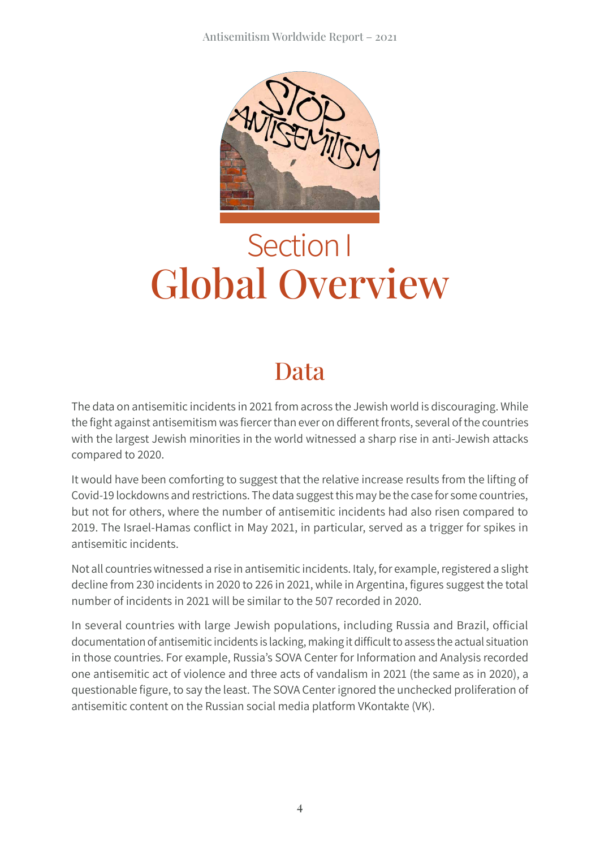

## Section I Global Overview

## Data

The data on antisemitic incidents in 2021 from across the Jewish world is discouraging. While the fight against antisemitism was fiercer than ever on different fronts, several of the countries with the largest Jewish minorities in the world witnessed a sharp rise in anti-Jewish attacks compared to 2020.

It would have been comforting to suggest that the relative increase results from the lifting of Covid-19 lockdowns and restrictions. The data suggest this may be the case for some countries, but not for others, where the number of antisemitic incidents had also risen compared to 2019. The Israel-Hamas conflict in May 2021, in particular, served as a trigger for spikes in antisemitic incidents.

Not all countries witnessed a rise in antisemitic incidents. Italy, for example, registered a slight decline from 230 incidents in 2020 to 226 in 2021, while in Argentina, figures suggest the total number of incidents in 2021 will be similar to the 507 recorded in 2020.

In several countries with large Jewish populations, including Russia and Brazil, official documentation of antisemitic incidents is lacking, making it difficult to assess the actual situation in those countries. For example, Russia's SOVA Center for Information and Analysis recorded one antisemitic act of violence and three acts of vandalism in 2021 (the same as in 2020), a questionable figure, to say the least. The SOVA Center ignored the unchecked proliferation of antisemitic content on the Russian social media platform VKontakte (VK).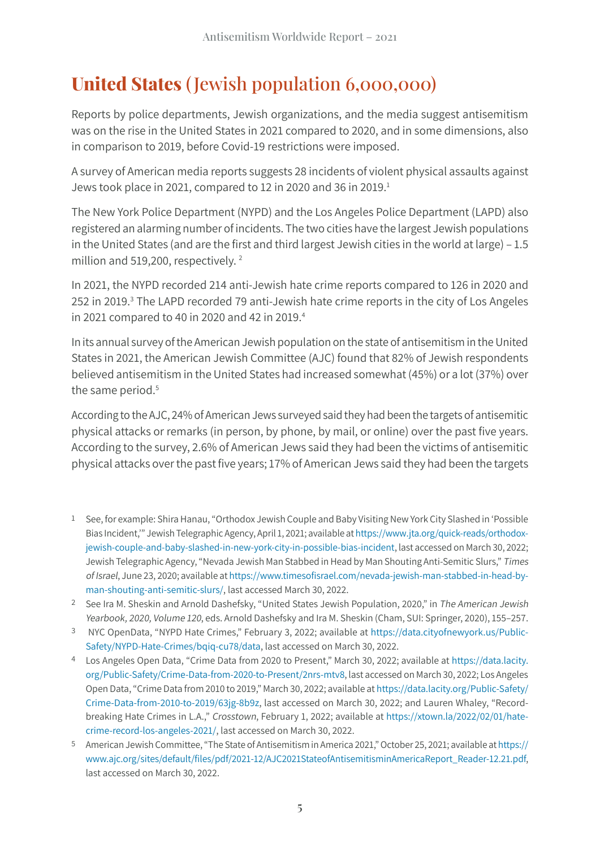#### **United States** ( Jewish population 6,000,000)

Reports by police departments, Jewish organizations, and the media suggest antisemitism was on the rise in the United States in 2021 compared to 2020, and in some dimensions, also in comparison to 2019, before Covid-19 restrictions were imposed.

A survey of American media reports suggests 28 incidents of violent physical assaults against Jews took place in 2021, compared to 12 in 2020 and 36 in 2019.<sup>1</sup>

The New York Police Department (NYPD) and the Los Angeles Police Department (LAPD) also registered an alarming number of incidents. The two cities have the largest Jewish populations in the United States (and are the first and third largest Jewish cities in the world at large) – 1.5 million and 519,200, respectively.<sup>2</sup>

In 2021, the NYPD recorded 214 anti-Jewish hate crime reports compared to 126 in 2020 and 252 in 2019.<sup>3</sup> The LAPD recorded 79 anti-Jewish hate crime reports in the city of Los Angeles in 2021 compared to 40 in 2020 and 42 in 2019.<sup>4</sup>

In its annual survey of the American Jewish population on the state of antisemitism in the United States in 2021, the American Jewish Committee (AJC) found that 82% of Jewish respondents believed antisemitism in the United States had increased somewhat (45%) or a lot (37%) over the same period.<sup>5</sup>

According to the AJC, 24% of American Jews surveyed said they had been the targets of antisemitic physical attacks or remarks (in person, by phone, by mail, or online) over the past five years. According to the survey, 2.6% of American Jews said they had been the victims of antisemitic physical attacks over the past five years; 17% of American Jews said they had been the targets

- 1 See, for example: Shira Hanau, "Orthodox Jewish Couple and Baby Visiting New York City Slashed in 'Possible Bias Incident,'" Jewish Telegraphic Agency, April 1, 2021; available at [https://www.jta.org/](https://www.jta.org/quick-reads/orthodox-jewish-couple-and-baby-slashed-in-new-york-city-in-possible-bias-incident)quick-reads/orthodox[jewish-couple-and-baby-slashed-in-new-york-city-in-possible-bias-incident,](https://www.jta.org/quick-reads/orthodox-jewish-couple-and-baby-slashed-in-new-york-city-in-possible-bias-incident) last accessed on March 30, 2022; Jewish Telegraphic Agency, "Nevada Jewish Man Stabbed in Head by Man Shouting Anti-Semitic Slurs," Times of Israel, June 23, 2020; available at https://www.timesofisrael[.com/nevada-jewish-man-stabbed-in-head-by](https://www.timesofisrael.com/nevada-jewish-man-stabbed-in-head-by-man-shouting-anti-semitic-slurs/)[man-shouting-anti-semitic-slurs/,](https://www.timesofisrael.com/nevada-jewish-man-stabbed-in-head-by-man-shouting-anti-semitic-slurs/) last accessed March 30, 2022.
- 2 See Ira M. Sheskin and Arnold Dashefsky, "United States Jewish Population, 2020," in The American Jewish Yearbook, 2020, Volume 120, eds. Arnold Dashefsky and Ira M. Sheskin (Cham, SUI: Springer, 2020), 155–257.
- 3 NYC OpenData, "NYPD Hate Crimes," February 3, 2022; available at[https://data.cityofnewyork.us/Public-](https://data.cityofnewyork.us/Public-Safety/NYPD-Hate-Crimes/bqiq-cu78/data)[Safety/NYPD-Hate-Crimes/](https://data.cityofnewyork.us/Public-Safety/NYPD-Hate-Crimes/bqiq-cu78/data)bqiq-cu78/data, last accessed on March 30, 2022.
- 4 Los Angeles Open Data, "Crime Data from 2020 to Present," March 30, 2022; available at [https://data.lacity.](https://data.lacity.org/Public-Safety/Crime-Data-from-2020-to-Present/2nrs-mtv8) [org/Public-Safety/Crime-Data-from-2020-to-Present/2nrs-mtv8](https://data.lacity.org/Public-Safety/Crime-Data-from-2020-to-Present/2nrs-mtv8), last accessed on March 30, 2022; Los Angeles Open Data, "Crime Data from 2010 to 2019," March 30, 2022; available at [https://data.lacity.org/Public-Safety/](https://data.lacity.org/Public-Safety/Crime-Data-from-2010-to-2019/63jg-8b9z) [Crime-Data-from-2010-to-2019/63jg-8b9z](https://data.lacity.org/Public-Safety/Crime-Data-from-2010-to-2019/63jg-8b9z), last accessed on March 30, 2022; and Lauren Whaley, "Recordbreaking Hate Crimes in L.A.," Crosstown, February 1, 2022; available at [https://xtown.la/2022/02/01/hate](https://xtown.la/2022/02/01/hate-crime-record-los-angeles-2021/)[crime-record-los-angeles-2021/,](https://xtown.la/2022/02/01/hate-crime-record-los-angeles-2021/) last accessed on March 30, 2022.
- 5 American Jewish Committee, "The State of Antisemitism in America 2021," October 25, 2021; available at [https://](https://www.ajc.org/sites/default/files/pdf/2021-12/AJC2021StateofAntisemitisminAmericaReport_Reader-12.21.pdf) www.ajc.org/sites/default/files[/pdf/2021-12/AJC2021StateofAntisemitisminAmericaReport\\_Reader-12.21.pdf](https://www.ajc.org/sites/default/files/pdf/2021-12/AJC2021StateofAntisemitisminAmericaReport_Reader-12.21.pdf), last accessed on March 30, 2022.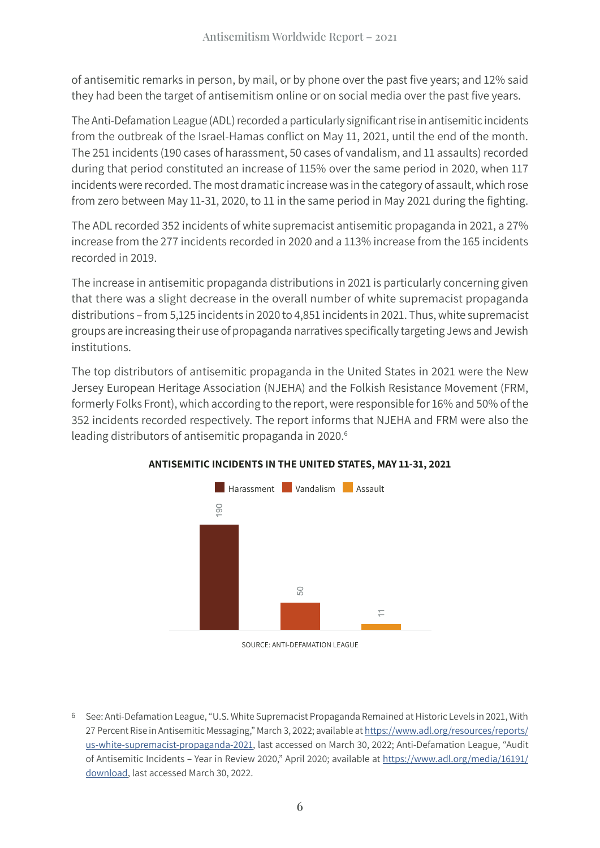of antisemitic remarks in person, by mail, or by phone over the past five years; and 12% said they had been the target of antisemitism online or on social media over the past five years.

The Anti-Defamation League (ADL) recorded a particularly significant rise in antisemitic incidents from the outbreak of the Israel-Hamas conflict on May 11, 2021, until the end of the month. The 251 incidents (190 cases of harassment, 50 cases of vandalism, and 11 assaults) recorded during that period constituted an increase of 115% over the same period in 2020, when 117 incidents were recorded. The most dramatic increase was in the category of assault, which rose from zero between May 11-31, 2020, to 11 in the same period in May 2021 during the fighting.

The ADL recorded 352 incidents of white supremacist antisemitic propaganda in 2021, a 27% increase from the 277 incidents recorded in 2020 and a 113% increase from the 165 incidents recorded in 2019.

The increase in antisemitic propaganda distributions in 2021 is particularly concerning given that there was a slight decrease in the overall number of white supremacist propaganda distributions – from 5,125 incidents in 2020 to 4,851 incidents in 2021. Thus, white supremacist groups are increasing their use of propaganda narratives specifically targeting Jews and Jewish institutions.

The top distributors of antisemitic propaganda in the United States in 2021 were the New Jersey European Heritage Association (NJEHA) and the Folkish Resistance Movement (FRM, formerly Folks Front), which according to the report, were responsible for 16% and 50% of the 352 incidents recorded respectively. The report informs that NJEHA and FRM were also the leading distributors of antisemitic propaganda in 2020.<sup>6</sup>



#### **ANTISEMITIC INCIDENTS IN THE UNITED STATES, MAY 11-31, 2021**

SOURCE: ANTI-DEFAMATION LEAGUE

6 See: Anti-Defamation League, "U.S. White Supremacist Propaganda Remained at Historic Levels in 2021, With 27 Percent Rise in Antisemitic Messaging," March 3, 2022; available at [https://www.adl.org/resources/reports/](https://www.adl.org/resources/reports/us-white-supremacist-propaganda-2021) [us-white-supremacist-propaganda-2021,](https://www.adl.org/resources/reports/us-white-supremacist-propaganda-2021) last accessed on March 30, 2022; Anti-Defamation League, "Audit of Antisemitic Incidents – Year in Review 2020," April 2020; available at [https://www.adl.org/media/16191/](https://www.adl.org/media/16191/download) [download,](https://www.adl.org/media/16191/download) last accessed March 30, 2022.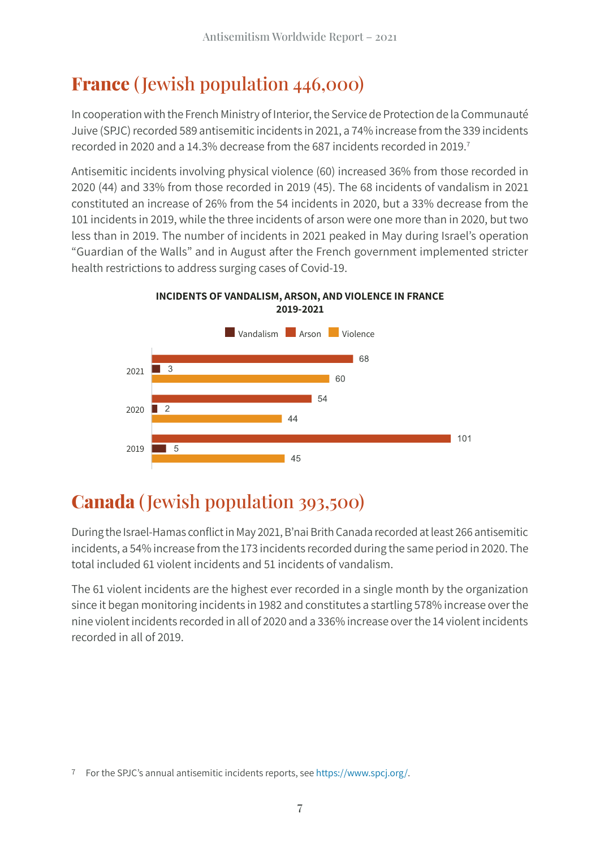#### **France** ( Jewish population 446,000)

In cooperation with the French Ministry of Interior, the Service de Protection de la Communauté Juive (SPJC) recorded 589 antisemitic incidents in 2021, a 74% increase from the 339 incidents recorded in 2020 and a 14.3% decrease from the 687 incidents recorded in 2019.7

Antisemitic incidents involving physical violence (60) increased 36% from those recorded in 2020 (44) and 33% from those recorded in 2019 (45). The 68 incidents of vandalism in 2021 constituted an increase of 26% from the 54 incidents in 2020, but a 33% decrease from the 101 incidents in 2019, while the three incidents of arson were one more than in 2020, but two less than in 2019. The number of incidents in 2021 peaked in May during Israel's operation "Guardian of the Walls" and in August after the French government implemented stricter health restrictions to address surging cases of Covid-19.



**INCIDENTS OF VANDALISM, ARSON, AND VIOLENCE IN FRANCE 2019-2021**

#### **Canada** ( Jewish population 393,500)

During the Israel-Hamas conflict in May 2021, B'nai Brith Canada recorded at least 266 antisemitic incidents, a 54% increase from the 173 incidents recorded during the same period in 2020. The total included 61 violent incidents and 51 incidents of vandalism.

The 61 violent incidents are the highest ever recorded in a single month by the organization since it began monitoring incidents in 1982 and constitutes a startling 578% increase over the nine violent incidents recorded in all of 2020 and a 336% increase over the 14 violent incidents recorded in all of 2019.

<sup>7</sup> For the SPJC's annual antisemitic incidents reports, see [https://www.spcj.org/.](https://www.spcj.org/)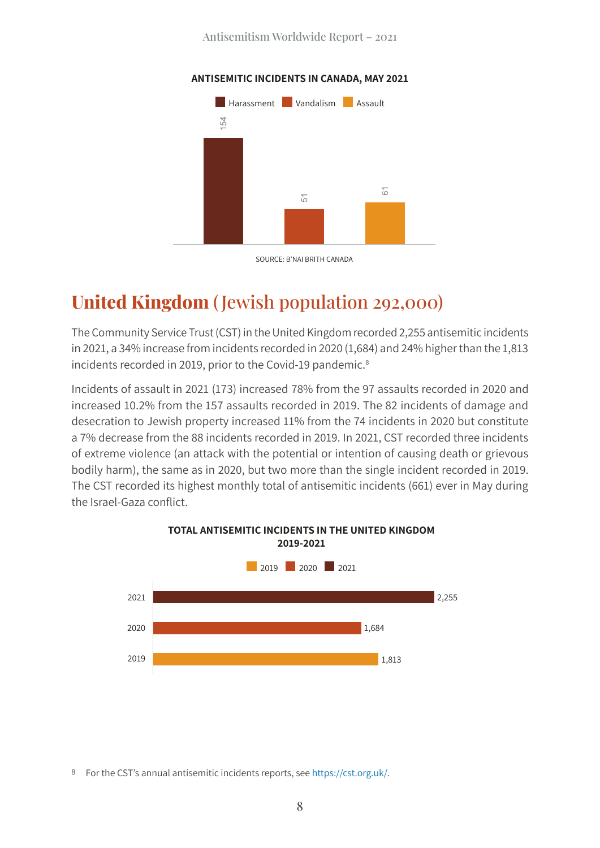

#### **ANTISEMITIC INCIDENTS IN CANADA, MAY 2021**

#### **United Kingdom** ( Jewish population 292,000)

The Community Service Trust (CST) in the United Kingdom recorded 2,255 antisemitic incidents in 2021, a 34% increase from incidents recorded in 2020 (1,684) and 24% higher than the 1,813 incidents recorded in 2019, prior to the Covid-19 pandemic.<sup>8</sup>

Incidents of assault in 2021 (173) increased 78% from the 97 assaults recorded in 2020 and increased 10.2% from the 157 assaults recorded in 2019. The 82 incidents of damage and desecration to Jewish property increased 11% from the 74 incidents in 2020 but constitute a 7% decrease from the 88 incidents recorded in 2019. In 2021, CST recorded three incidents of extreme violence (an attack with the potential or intention of causing death or grievous bodily harm), the same as in 2020, but two more than the single incident recorded in 2019. The CST recorded its highest monthly total of antisemitic incidents (661) ever in May during the Israel-Gaza conflict.



#### **TOTAL ANTISEMITIC INCIDENTS IN THE UNITED KINGDOM 2019-2021**

8 For the CST's annual antisemitic incidents reports, see [https://cst.org.uk/.](https://cst.org.uk/)

SOURCE: B'NAI BRITH CANADA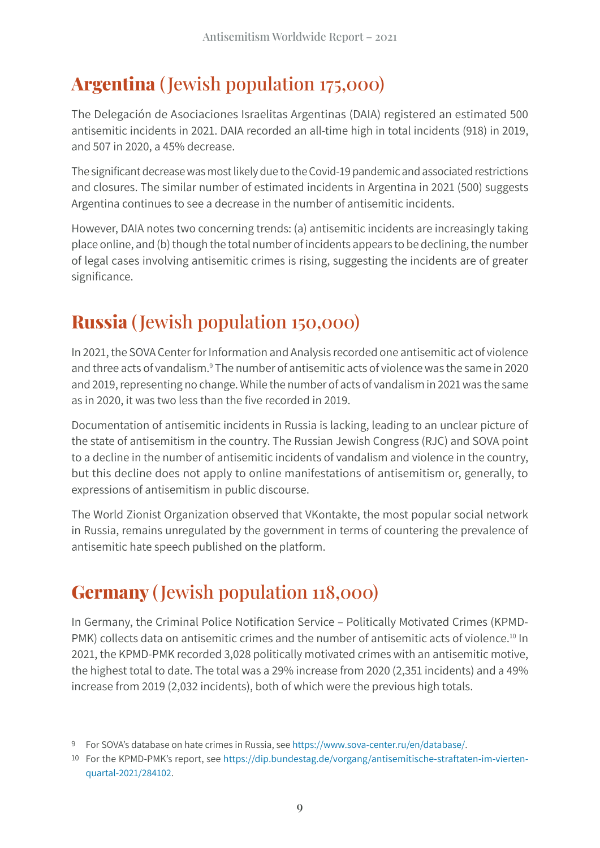#### **Argentina** ( Jewish population 175,000)

The Delegación de Asociaciones Israelitas Argentinas (DAIA) registered an estimated 500 antisemitic incidents in 2021. DAIA recorded an all-time high in total incidents (918) in 2019, and 507 in 2020, a 45% decrease.

The significant decrease was most likely due to the Covid-19 pandemic and associated restrictions and closures. The similar number of estimated incidents in Argentina in 2021 (500) suggests Argentina continues to see a decrease in the number of antisemitic incidents.

However, DAIA notes two concerning trends: (a) antisemitic incidents are increasingly taking place online, and (b) though the total number of incidents appears to be declining, the number of legal cases involving antisemitic crimes is rising, suggesting the incidents are of greater significance.

#### **Russia** ( Jewish population 150,000)

In 2021, the SOVA Center for Information and Analysis recorded one antisemitic act of violence and three acts of vandalism.<sup>9</sup> The number of antisemitic acts of violence was the same in 2020 and 2019, representing no change. While the number of acts of vandalism in 2021 was the same as in 2020, it was two less than the five recorded in 2019.

Documentation of antisemitic incidents in Russia is lacking, leading to an unclear picture of the state of antisemitism in the country. The Russian Jewish Congress (RJC) and SOVA point to a decline in the number of antisemitic incidents of vandalism and violence in the country, but this decline does not apply to online manifestations of antisemitism or, generally, to expressions of antisemitism in public discourse.

The World Zionist Organization observed that VKontakte, the most popular social network in Russia, remains unregulated by the government in terms of countering the prevalence of antisemitic hate speech published on the platform.

#### **Germany** ( Jewish population 118,000)

In Germany, the Criminal Police Notification Service – Politically Motivated Crimes (KPMD-PMK) collects data on antisemitic crimes and the number of antisemitic acts of violence.<sup>10</sup> In 2021, the KPMD-PMK recorded 3,028 politically motivated crimes with an antisemitic motive, the highest total to date. The total was a 29% increase from 2020 (2,351 incidents) and a 49% increase from 2019 (2,032 incidents), both of which were the previous high totals.

<sup>9</sup> For SOVA's database on hate crimes in Russia, see [https://www.sova-center.ru/en/database/.](https://www.sova-center.ru/en/database/)

<sup>10</sup> For the KPMD-PMK's report, see [https://dip.bundestag.de/vorgang/antisemitische-straftaten-im-vierten](https://dip.bundestag.de/vorgang/antisemitische-straftaten-im-vierten-quartal-2021/284102)quartal[-2021/284102.](https://dip.bundestag.de/vorgang/antisemitische-straftaten-im-vierten-quartal-2021/284102)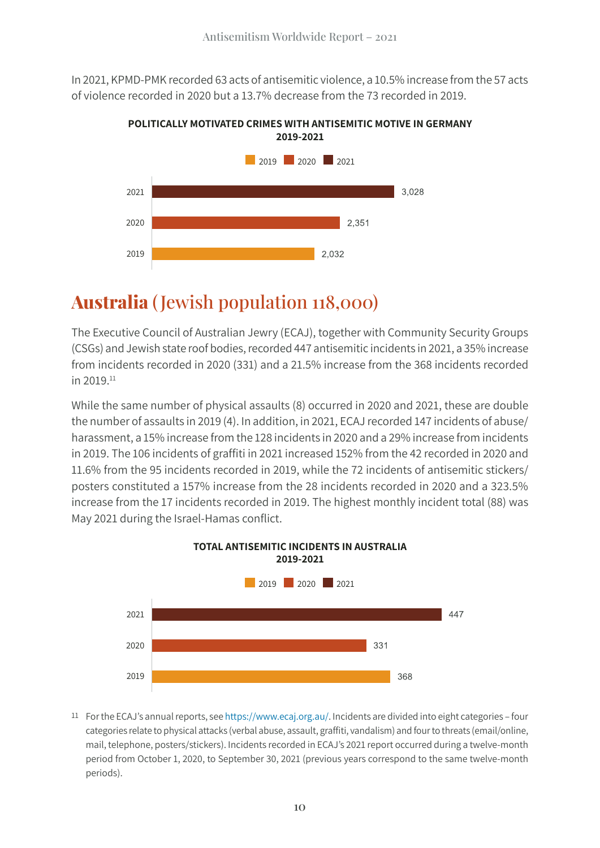In 2021, KPMD-PMK recorded 63 acts of antisemitic violence, a 10.5% increase from the 57 acts of violence recorded in 2020 but a 13.7% decrease from the 73 recorded in 2019.





#### **Australia** ( Jewish population 118,000)

The Executive Council of Australian Jewry (ECAJ), together with Community Security Groups (CSGs) and Jewish state roof bodies, recorded 447 antisemitic incidents in 2021, a 35% increase from incidents recorded in 2020 (331) and a 21.5% increase from the 368 incidents recorded in 2019.11

While the same number of physical assaults (8) occurred in 2020 and 2021, these are double the number of assaults in 2019 (4). In addition, in 2021, ECAJ recorded 147 incidents of abuse/ harassment, a 15% increase from the 128 incidents in 2020 and a 29% increase from incidents in 2019. The 106 incidents of graffiti in 2021 increased 152% from the 42 recorded in 2020 and 11.6% from the 95 incidents recorded in 2019, while the 72 incidents of antisemitic stickers/ posters constituted a 157% increase from the 28 incidents recorded in 2020 and a 323.5% increase from the 17 incidents recorded in 2019. The highest monthly incident total (88) was May 2021 during the Israel-Hamas conflict.



11 For the ECAJ's annual reports, see<https://www.ecaj.org.au/>. Incidents are divided into eight categories – four categories relate to physical attacks (verbal abuse, assault, graffiti, vandalism) and four to threats (email/online, mail, telephone, posters/stickers). Incidents recorded in ECAJ's 2021 report occurred during a twelve-month period from October 1, 2020, to September 30, 2021 (previous years correspond to the same twelve-month periods).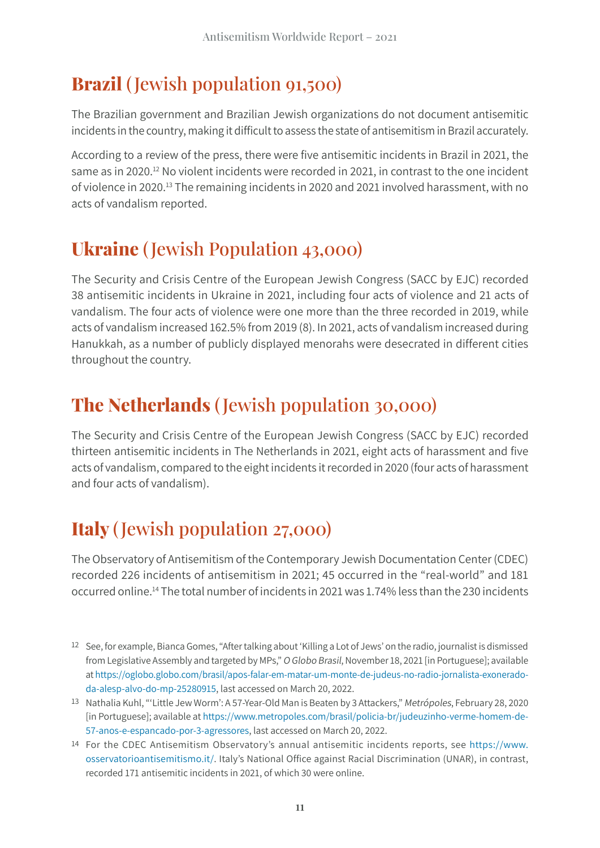#### **Brazil** ( Jewish population 91,500)

The Brazilian government and Brazilian Jewish organizations do not document antisemitic incidents in the country, making it difficult to assess the state of antisemitism in Brazil accurately.

According to a review of the press, there were five antisemitic incidents in Brazil in 2021, the same as in 2020.<sup>12</sup> No violent incidents were recorded in 2021, in contrast to the one incident of violence in 2020.13 The remaining incidents in 2020 and 2021 involved harassment, with no acts of vandalism reported.

#### **Ukraine** ( Jewish Population 43,000)

The Security and Crisis Centre of the European Jewish Congress (SACC by EJC) recorded 38 antisemitic incidents in Ukraine in 2021, including four acts of violence and 21 acts of vandalism. The four acts of violence were one more than the three recorded in 2019, while acts of vandalism increased 162.5% from 2019 (8). In 2021, acts of vandalism increased during Hanukkah, as a number of publicly displayed menorahs were desecrated in different cities throughout the country.

#### **The Netherlands** ( Jewish population 30,000)

The Security and Crisis Centre of the European Jewish Congress (SACC by EJC) recorded thirteen antisemitic incidents in The Netherlands in 2021, eight acts of harassment and five acts of vandalism, compared to the eight incidents it recorded in 2020 (four acts of harassment and four acts of vandalism).

#### **Italy** ( Jewish population 27,000)

The Observatory of Antisemitism of the Contemporary Jewish Documentation Center (CDEC) recorded 226 incidents of antisemitism in 2021; 45 occurred in the "real-world" and 181 occurred online.14 The total number of incidents in 2021 was 1.74% less than the 230 incidents

- 12 See, for example, Bianca Gomes, "After talking about 'Killing a Lot of Jews' on the radio, journalist is dismissed from Legislative Assembly and targeted by MPs," O Globo Brasil, November 18, 2021 [in Portuguese]; available at [https://oglobo.globo.com/brasil/apos-falar-em-matar-um-monte-de-judeus-no-radio-jornalista-exonerado](https://oglobo.globo.com/brasil/apos-falar-em-matar-um-monte-de-judeus-no-radio-jornalista-exonerado-da-alesp-alvo-do-mp-25280915)[da-alesp-alvo-do-mp-25280915](https://oglobo.globo.com/brasil/apos-falar-em-matar-um-monte-de-judeus-no-radio-jornalista-exonerado-da-alesp-alvo-do-mp-25280915), last accessed on March 20, 2022.
- 13 Nathalia Kuhl, "'Little Jew Worm': A 57-Year-Old Man is Beaten by 3 Attackers," Metrópoles, February 28, 2020 [in Portuguese]; available at [https://www.metropoles.com/brasil/policia-br/judeuzinho-verme-homem-de-](https://www.metropoles.com/brasil/policia-br/judeuzinho-verme-homem-de-57-anos-e-espancado-por-3-agressores)[57-anos-e-espancado-por-3-agressores](https://www.metropoles.com/brasil/policia-br/judeuzinho-verme-homem-de-57-anos-e-espancado-por-3-agressores), last accessed on March 20, 2022.
- 14 For the CDEC Antisemitism Observatory's annual antisemitic incidents reports, see [https://www.](https://www.osservatorioantisemitismo.it/) [osservatorioantisemitismo.it/](https://www.osservatorioantisemitismo.it/). Italy's National Office against Racial Discrimination (UNAR), in contrast, recorded 171 antisemitic incidents in 2021, of which 30 were online.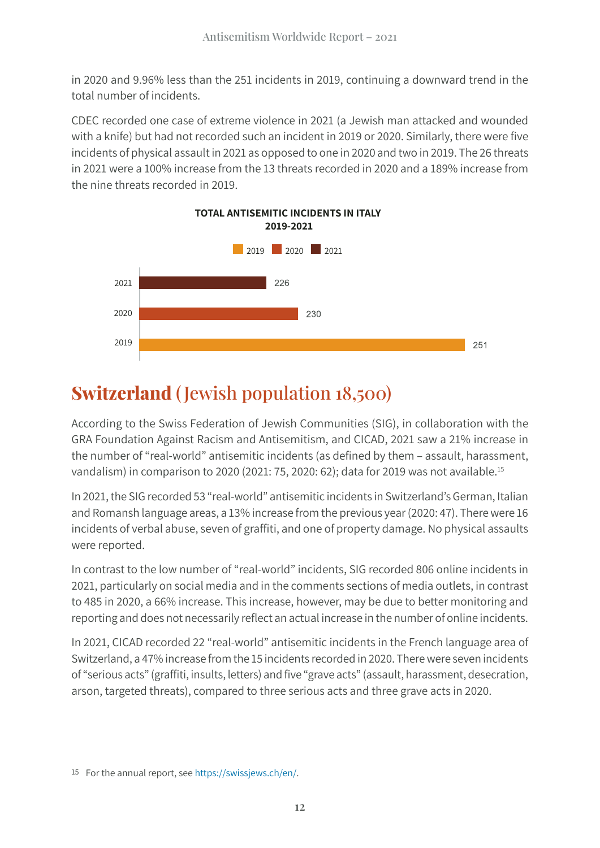in 2020 and 9.96% less than the 251 incidents in 2019, continuing a downward trend in the total number of incidents.

CDEC recorded one case of extreme violence in 2021 (a Jewish man attacked and wounded with a knife) but had not recorded such an incident in 2019 or 2020. Similarly, there were five incidents of physical assault in 2021 as opposed to one in 2020 and two in 2019. The 26 threats in 2021 were a 100% increase from the 13 threats recorded in 2020 and a 189% increase from the nine threats recorded in 2019.



#### **Switzerland** ( Jewish population 18,500)

According to the Swiss Federation of Jewish Communities (SIG), in collaboration with the GRA Foundation Against Racism and Antisemitism, and CICAD, 2021 saw a 21% increase in the number of "real-world" antisemitic incidents (as defined by them – assault, harassment, vandalism) in comparison to 2020 (2021: 75, 2020: 62); data for 2019 was not available.15

In 2021, the SIG recorded 53 "real-world" antisemitic incidents in Switzerland's German, Italian and Romansh language areas, a 13% increase from the previous year (2020: 47). There were 16 incidents of verbal abuse, seven of graffiti, and one of property damage. No physical assaults were reported.

In contrast to the low number of "real-world" incidents, SIG recorded 806 online incidents in 2021, particularly on social media and in the comments sections of media outlets, in contrast to 485 in 2020, a 66% increase. This increase, however, may be due to better monitoring and reporting and does not necessarily reflect an actual increase in the number of online incidents.

In 2021, CICAD recorded 22 "real-world" antisemitic incidents in the French language area of Switzerland, a 47% increase from the 15 incidents recorded in 2020. There were seven incidents of "serious acts" (graffiti, insults, letters) and five "grave acts" (assault, harassment, desecration, arson, targeted threats), compared to three serious acts and three grave acts in 2020.

<sup>15</sup> For the annual report, se[e https://swissjews.ch/en/](https://swissjews.ch/en/).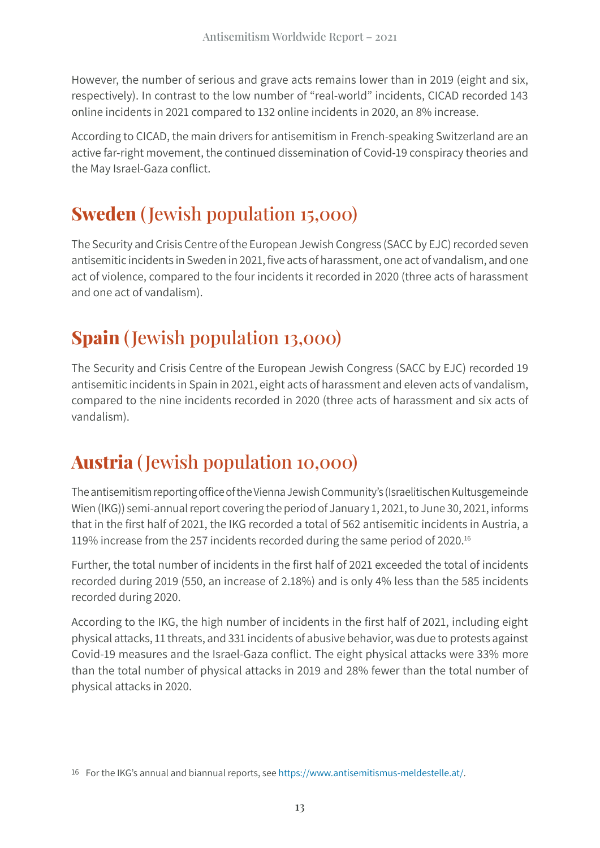However, the number of serious and grave acts remains lower than in 2019 (eight and six, respectively). In contrast to the low number of "real-world" incidents, CICAD recorded 143 online incidents in 2021 compared to 132 online incidents in 2020, an 8% increase.

According to CICAD, the main drivers for antisemitism in French-speaking Switzerland are an active far-right movement, the continued dissemination of Covid-19 conspiracy theories and the May Israel-Gaza conflict.

#### **Sweden** ( Jewish population 15,000)

The Security and Crisis Centre of the European Jewish Congress (SACC by EJC) recorded seven antisemitic incidents in Sweden in 2021, five acts of harassment, one act of vandalism, and one act of violence, compared to the four incidents it recorded in 2020 (three acts of harassment and one act of vandalism).

#### **Spain** ( Jewish population 13,000)

The Security and Crisis Centre of the European Jewish Congress (SACC by EJC) recorded 19 antisemitic incidents in Spain in 2021, eight acts of harassment and eleven acts of vandalism, compared to the nine incidents recorded in 2020 (three acts of harassment and six acts of vandalism).

#### **Austria** ( Jewish population 10,000)

The antisemitism reporting office of the Vienna Jewish Community's (Israelitischen Kultusgemeinde Wien (IKG)) semi-annual report covering the period of January 1, 2021, to June 30, 2021, informs that in the first half of 2021, the IKG recorded a total of 562 antisemitic incidents in Austria, a 119% increase from the 257 incidents recorded during the same period of 2020.16

Further, the total number of incidents in the first half of 2021 exceeded the total of incidents recorded during 2019 (550, an increase of 2.18%) and is only 4% less than the 585 incidents recorded during 2020.

According to the IKG, the high number of incidents in the first half of 2021, including eight physical attacks, 11 threats, and 331 incidents of abusive behavior, was due to protests against Covid-19 measures and the Israel-Gaza conflict. The eight physical attacks were 33% more than the total number of physical attacks in 2019 and 28% fewer than the total number of physical attacks in 2020.

<sup>16</sup> For the IKG's annual and biannual reports, se[e](https://www.antisemitismus-meldestelle.at/) [https://www.antisemitismus-meldestelle.at/.](https://www.antisemitismus-meldestelle.at/)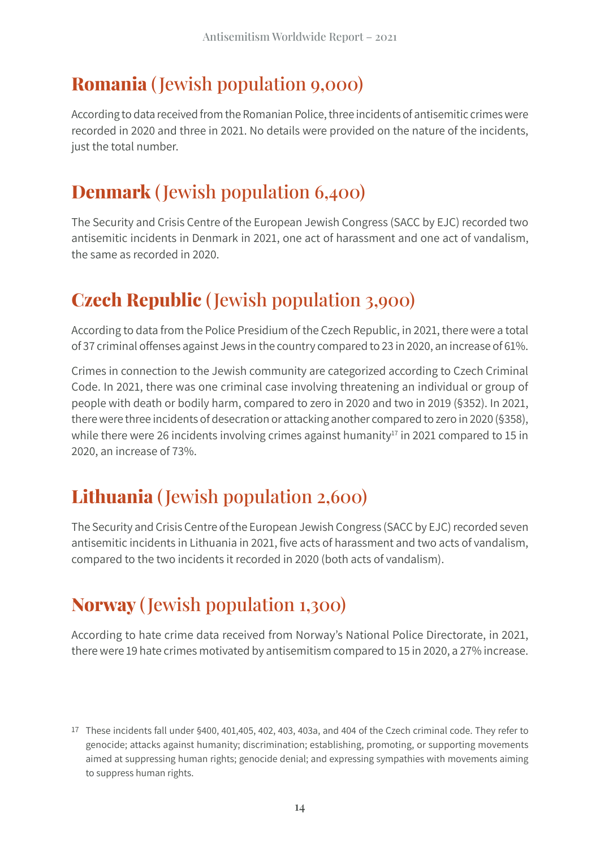#### **Romania** ( Jewish population 9,000)

According to data received from the Romanian Police, three incidents of antisemitic crimes were recorded in 2020 and three in 2021. No details were provided on the nature of the incidents, just the total number.

#### **Denmark** ( Jewish population 6,400)

The Security and Crisis Centre of the European Jewish Congress (SACC by EJC) recorded two antisemitic incidents in Denmark in 2021, one act of harassment and one act of vandalism, the same as recorded in 2020.

#### **Czech Republic** ( Jewish population 3,900)

According to data from the Police Presidium of the Czech Republic, in 2021, there were a total of 37 criminal offenses against Jews in the country compared to 23 in 2020, an increase of 61%.

Crimes in connection to the Jewish community are categorized according to Czech Criminal Code. In 2021, there was one criminal case involving threatening an individual or group of people with death or bodily harm, compared to zero in 2020 and two in 2019 (§352). In 2021, there were three incidents of desecration or attacking another compared to zero in 2020 (§358), while there were 26 incidents involving crimes against humanity<sup>17</sup> in 2021 compared to 15 in 2020, an increase of 73%.

#### **Lithuania** ( Jewish population 2,600)

The Security and Crisis Centre of the European Jewish Congress (SACC by EJC) recorded seven antisemitic incidents in Lithuania in 2021, five acts of harassment and two acts of vandalism, compared to the two incidents it recorded in 2020 (both acts of vandalism).

#### **Norway** ( Jewish population 1,300)

According to hate crime data received from Norway's National Police Directorate, in 2021, there were 19 hate crimes motivated by antisemitism compared to 15 in 2020, a 27% increase.

<sup>17</sup> These incidents fall under §400, 401,405, 402, 403, 403a, and 404 of the Czech criminal code. They refer to genocide; attacks against humanity; discrimination; establishing, promoting, or supporting movements aimed at suppressing human rights; genocide denial; and expressing sympathies with movements aiming to suppress human rights.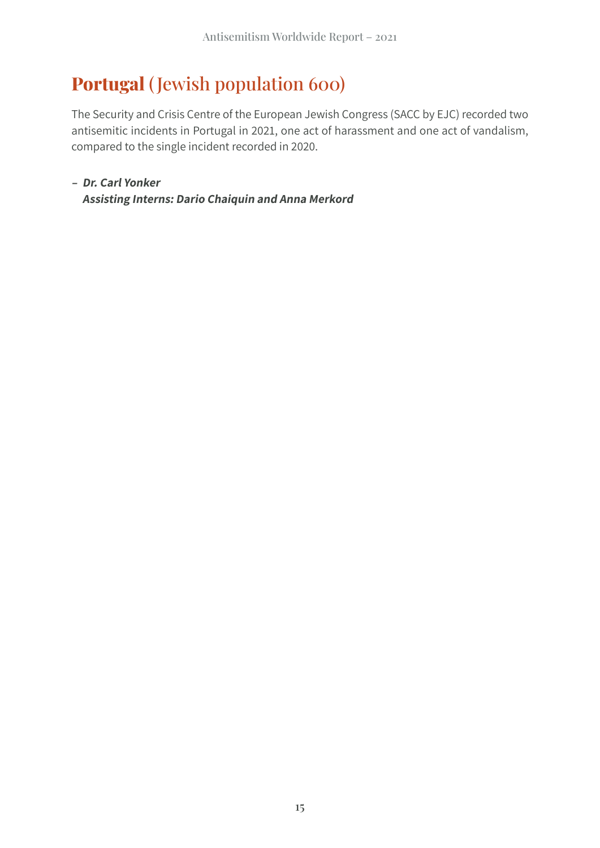#### **Portugal** ( Jewish population 600)

The Security and Crisis Centre of the European Jewish Congress (SACC by EJC) recorded two antisemitic incidents in Portugal in 2021, one act of harassment and one act of vandalism, compared to the single incident recorded in 2020.

**– Dr. Carl Yonker Assisting Interns: Dario Chaiquin and Anna Merkord**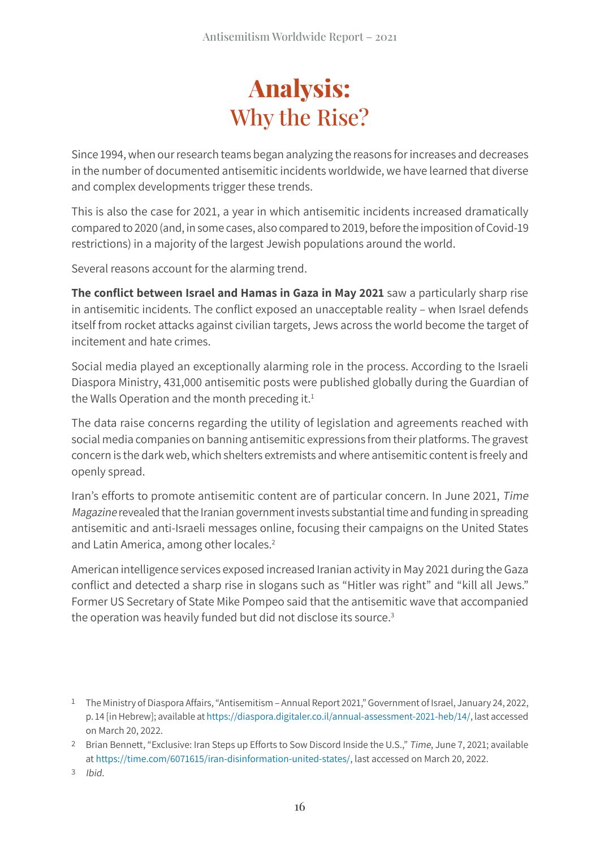### **Analysis:** Why the Rise?

Since 1994, when our research teams began analyzing the reasons for increases and decreases in the number of documented antisemitic incidents worldwide, we have learned that diverse and complex developments trigger these trends.

This is also the case for 2021, a year in which antisemitic incidents increased dramatically compared to 2020 (and, in some cases, also compared to 2019, before the imposition of Covid-19 restrictions) in a majority of the largest Jewish populations around the world.

Several reasons account for the alarming trend.

**The conflict between Israel and Hamas in Gaza in May 2021** saw a particularly sharp rise in antisemitic incidents. The conflict exposed an unacceptable reality – when Israel defends itself from rocket attacks against civilian targets, Jews across the world become the target of incitement and hate crimes.

Social media played an exceptionally alarming role in the process. According to the Israeli Diaspora Ministry, 431,000 antisemitic posts were published globally during the Guardian of the Walls Operation and the month preceding it. $<sup>1</sup>$ </sup>

The data raise concerns regarding the utility of legislation and agreements reached with social media companies on banning antisemitic expressions from their platforms. The gravest concern is the dark web, which shelters extremists and where antisemitic content is freely and openly spread.

Iran's efforts to promote antisemitic content are of particular concern. In June 2021, Time Magazine revealed that the Iranian government invests substantial time and funding in spreading antisemitic and anti-Israeli messages online, focusing their campaigns on the United States and Latin America, among other locales.<sup>2</sup>

American intelligence services exposed increased Iranian activity in May 2021 during the Gaza conflict and detected a sharp rise in slogans such as "Hitler was right" and "kill all Jews." Former US Secretary of State Mike Pompeo said that the antisemitic wave that accompanied the operation was heavily funded but did not disclose its source.<sup>3</sup>

<sup>1</sup> The Ministry of Diaspora Affairs, "Antisemitism – Annual Report 2021," Government of Israel, January 24, 2022, p. 14 [in Hebrew]; available at [https://diaspora.digitaler.co.il/annual-assessment-2021-heb/14/,](https://diaspora.digitaler.co.il/annual-assessment-2021-heb/14/) last accessed on March 20, 2022.

<sup>2</sup> Brian Bennett, "Exclusive: Iran Steps up Efforts to Sow Discord Inside the U.S.," Time, June 7, 2021; available at [https://time.com/6071615/iran-disinformation-united-states/,](https://time.com/6071615/iran-disinformation-united-states/) last accessed on March 20, 2022.

<sup>3</sup> Ibid.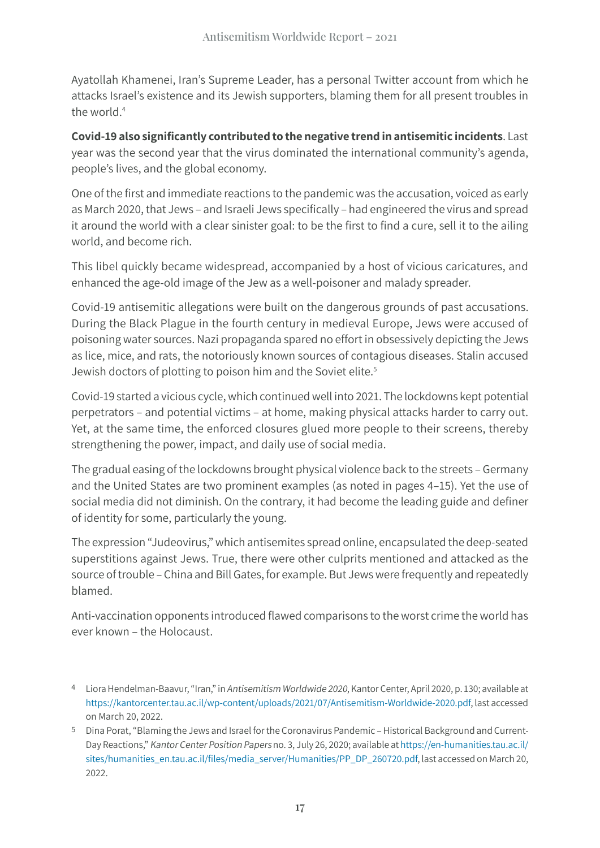Ayatollah Khamenei, Iran's Supreme Leader, has a personal Twitter account from which he attacks Israel's existence and its Jewish supporters, blaming them for all present troubles in the world.<sup>4</sup>

**Covid-19 also significantly contributed to the negative trend in antisemitic incidents**. Last year was the second year that the virus dominated the international community's agenda, people's lives, and the global economy.

One of the first and immediate reactions to the pandemic was the accusation, voiced as early as March 2020, that Jews – and Israeli Jews specifically – had engineered the virus and spread it around the world with a clear sinister goal: to be the first to find a cure, sell it to the ailing world, and become rich.

This libel quickly became widespread, accompanied by a host of vicious caricatures, and enhanced the age-old image of the Jew as a well-poisoner and malady spreader.

Covid-19 antisemitic allegations were built on the dangerous grounds of past accusations. During the Black Plague in the fourth century in medieval Europe, Jews were accused of poisoning water sources. Nazi propaganda spared no effort in obsessively depicting the Jews as lice, mice, and rats, the notoriously known sources of contagious diseases. Stalin accused Jewish doctors of plotting to poison him and the Soviet elite.<sup>5</sup>

Covid-19 started a vicious cycle, which continued well into 2021. The lockdowns kept potential perpetrators – and potential victims – at home, making physical attacks harder to carry out. Yet, at the same time, the enforced closures glued more people to their screens, thereby strengthening the power, impact, and daily use of social media.

The gradual easing of the lockdowns brought physical violence back to the streets – Germany and the United States are two prominent examples (as noted in pages 4–15). Yet the use of social media did not diminish. On the contrary, it had become the leading guide and definer of identity for some, particularly the young.

The expression "Judeovirus," which antisemites spread online, encapsulated the deep-seated superstitions against Jews. True, there were other culprits mentioned and attacked as the source of trouble – China and Bill Gates, for example. But Jews were frequently and repeatedly blamed.

Anti-vaccination opponents introduced flawed comparisons to the worst crime the world has ever known – the Holocaust.

<sup>4</sup> Liora Hendelman-Baavur, "Iran," in Antisemitism Worldwide 2020, Kantor Center, April 2020, p. 130; available at <https://kantorcenter.tau.ac.il/wp-content/uploads/2021/07/Antisemitism-Worldwide-2020.pdf>, last accessed on March 20, 2022.

<sup>5</sup> Dina Porat, "Blaming the Jews and Israel for the Coronavirus Pandemic – Historical Background and Current-Day Reactions," Kantor Center Position Papers no. 3, July 26, 2020; available at [https://en-humanities.tau.ac.il/](https://en-humanities.tau.ac.il/sites/humanities_en.tau.ac.il/files/media_server/Humanities/PP_DP_260720.pdf) sites/humanities\_en.tau.ac.il/files[/media\\_server/Humanities/PP\\_DP\\_260720.pdf](https://en-humanities.tau.ac.il/sites/humanities_en.tau.ac.il/files/media_server/Humanities/PP_DP_260720.pdf), last accessed on March 20, 2022.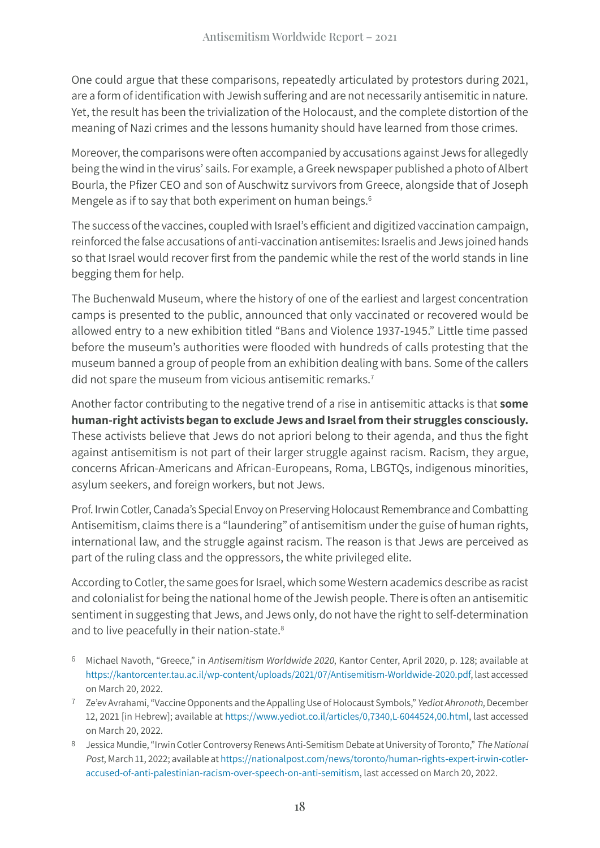One could argue that these comparisons, repeatedly articulated by protestors during 2021, are a form of identification with Jewish suffering and are not necessarily antisemitic in nature. Yet, the result has been the trivialization of the Holocaust, and the complete distortion of the meaning of Nazi crimes and the lessons humanity should have learned from those crimes.

Moreover, the comparisons were often accompanied by accusations against Jews for allegedly being the wind in the virus' sails. For example, a Greek newspaper published a photo of Albert Bourla, the Pfizer CEO and son of Auschwitz survivors from Greece, alongside that of Joseph Mengele as if to say that both experiment on human beings. $6$ 

The success of the vaccines, coupled with Israel's efficient and digitized vaccination campaign, reinforced the false accusations of anti-vaccination antisemites: Israelis and Jews joined hands so that Israel would recover first from the pandemic while the rest of the world stands in line begging them for help.

The Buchenwald Museum, where the history of one of the earliest and largest concentration camps is presented to the public, announced that only vaccinated or recovered would be allowed entry to a new exhibition titled "Bans and Violence 1937-1945." Little time passed before the museum's authorities were flooded with hundreds of calls protesting that the museum banned a group of people from an exhibition dealing with bans. Some of the callers did not spare the museum from vicious antisemitic remarks.<sup>7</sup>

Another factor contributing to the negative trend of a rise in antisemitic attacks is that **some human-right activists began to exclude Jews and Israel from their struggles consciously.** These activists believe that Jews do not apriori belong to their agenda, and thus the fight against antisemitism is not part of their larger struggle against racism. Racism, they argue, concerns African-Americans and African-Europeans, Roma, LBGTQs, indigenous minorities, asylum seekers, and foreign workers, but not Jews.

Prof. Irwin Cotler, Canada's Special Envoy on Preserving Holocaust Remembrance and Combatting Antisemitism, claims there is a "laundering" of antisemitism under the guise of human rights, international law, and the struggle against racism. The reason is that Jews are perceived as part of the ruling class and the oppressors, the white privileged elite.

According to Cotler, the same goes for Israel, which some Western academics describe as racist and colonialist for being the national home of the Jewish people. There is often an antisemitic sentiment in suggesting that Jews, and Jews only, do not have the right to self-determination and to live peacefully in their nation-state.<sup>8</sup>

- 6 Michael Navoth, "Greece," in Antisemitism Worldwide 2020, Kantor Center, April 2020, p. 128; available at <https://kantorcenter.tau.ac.il/wp-content/uploads/2021/07/Antisemitism-Worldwide-2020.pdf>, last accessed on March 20, 2022.
- <sup>7</sup> Ze'ev Avrahami, "Vaccine Opponents and the Appalling Use of Holocaust Symbols," Yediot Ahronoth, December 12, 2021 [in Hebrew]; available at<https://www.yediot.co.il/articles/0,7340,L-6044524,00.html>, last accessed on March 20, 2022.
- 8 Jessica Mundie, "Irwin Cotler Controversy Renews Anti-Semitism Debate at University of Toronto," The National Post, March 11, 2022; available at [https://nationalpost.com/news/toronto/human-rights-expert-irwin-cotler](https://nationalpost.com/news/toronto/human-rights-expert-irwin-cotler-accused-of-anti-palestinian-racism-over-speech-on-anti-semitism)[accused-of-anti-palestinian-racism-over-speech-on-anti-semitism,](https://nationalpost.com/news/toronto/human-rights-expert-irwin-cotler-accused-of-anti-palestinian-racism-over-speech-on-anti-semitism) last accessed on March 20, 2022.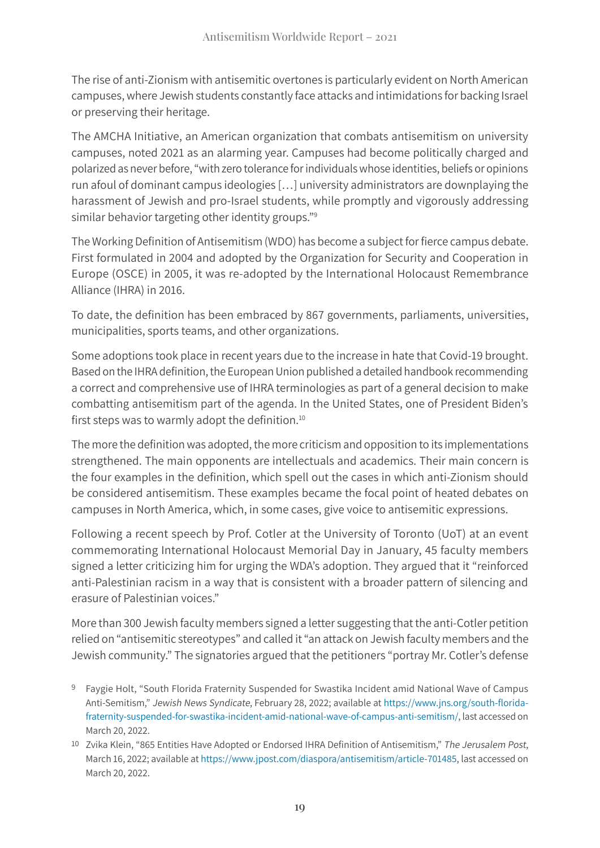The rise of anti-Zionism with antisemitic overtones is particularly evident on North American campuses, where Jewish students constantly face attacks and intimidations for backing Israel or preserving their heritage.

The AMCHA Initiative, an American organization that combats antisemitism on university campuses, noted 2021 as an alarming year. Campuses had become politically charged and polarized as never before, "with zero tolerance for individuals whose identities, beliefs or opinions run afoul of dominant campus ideologies […] university administrators are downplaying the harassment of Jewish and pro-Israel students, while promptly and vigorously addressing similar behavior targeting other identity groups."<sup>9</sup>

The Working Definition of Antisemitism (WDO) has become a subject for fierce campus debate. First formulated in 2004 and adopted by the Organization for Security and Cooperation in Europe (OSCE) in 2005, it was re-adopted by the International Holocaust Remembrance Alliance (IHRA) in 2016.

To date, the definition has been embraced by 867 governments, parliaments, universities, municipalities, sports teams, and other organizations.

Some adoptions took place in recent years due to the increase in hate that Covid-19 brought. Based on the IHRA definition, the European Union published a detailed handbook recommending a correct and comprehensive use of IHRA terminologies as part of a general decision to make combatting antisemitism part of the agenda. In the United States, one of President Biden's first steps was to warmly adopt the definition.<sup>10</sup>

The more the definition was adopted, the more criticism and opposition to its implementations strengthened. The main opponents are intellectuals and academics. Their main concern is the four examples in the definition, which spell out the cases in which anti-Zionism should be considered antisemitism. These examples became the focal point of heated debates on campuses in North America, which, in some cases, give voice to antisemitic expressions.

Following a recent speech by Prof. Cotler at the University of Toronto (UoT) at an event commemorating International Holocaust Memorial Day in January, 45 faculty members signed a letter criticizing him for urging the WDA's adoption. They argued that it "reinforced anti-Palestinian racism in a way that is consistent with a broader pattern of silencing and erasure of Palestinian voices."

More than 300 Jewish faculty members signed a letter suggesting that the anti-Cotler petition relied on "antisemitic stereotypes" and called it "an attack on Jewish faculty members and the Jewish community." The signatories argued that the petitioners "portray Mr. Cotler's defense

- 9 Faygie Holt, "South Florida Fraternity Suspended for Swastika Incident amid National Wave of Campus Anti-Semitism," Jewish News Syndicate, February 28, 2022; available at [https://www.jns.org/south-](https://www.jns.org/south-florida-fraternity-suspended-for-swastika-incident-amid-national-wave-of-campus-anti-semitism/)florida[fraternity-suspended-for-swastika-incident-amid-national-wave-of-campus-anti-semitism/,](https://www.jns.org/south-florida-fraternity-suspended-for-swastika-incident-amid-national-wave-of-campus-anti-semitism/) last accessed on March 20, 2022.
- 10 Zvika Klein, "865 Entities Have Adopted or Endorsed IHRA Definition of Antisemitism," The Jerusalem Post, March 16, 2022; available at<https://www.jpost.com/diaspora/antisemitism/article-701485>, last accessed on March 20, 2022.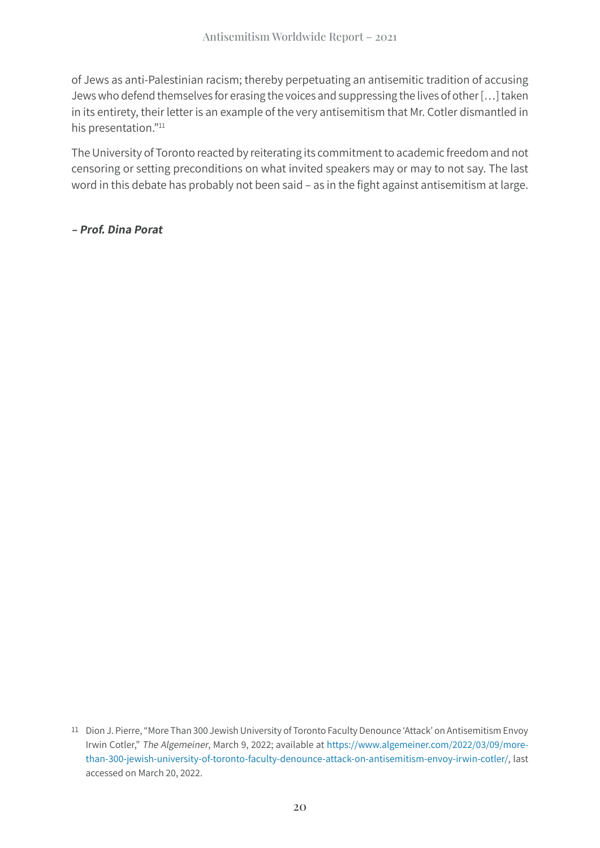of Jews as anti-Palestinian racism; thereby perpetuating an antisemitic tradition of accusing Jews who defend themselves for erasing the voices and suppressing the lives of other […] taken in its entirety, their letter is an example of the very antisemitism that Mr. Cotler dismantled in his presentation."<sup>11</sup>

The University of Toronto reacted by reiterating its commitment to academic freedom and not censoring or setting preconditions on what invited speakers may or may to not say. The last word in this debate has probably not been said – as in the fight against antisemitism at large.

**– Prof. Dina Porat**

<sup>11</sup> Dion J. Pierre, "More Than 300 Jewish University of Toronto Faculty Denounce 'Attack' on Antisemitism Envoy Irwin Cotler," The Algemeiner, March 9, 2022; available at [https://www.algemeiner.com/2022/03/09/more](https://www.algemeiner.com/2022/03/09/more-than-300-jewish-university-of-toronto-faculty-denounce-attack-on-antisemitism-envoy-irwin-cotler/)[than-300-jewish-university-of-toronto-faculty-denounce-attack-on-antisemitism-envoy-irwin-cotler/](https://www.algemeiner.com/2022/03/09/more-than-300-jewish-university-of-toronto-faculty-denounce-attack-on-antisemitism-envoy-irwin-cotler/), last accessed on March 20, 2022.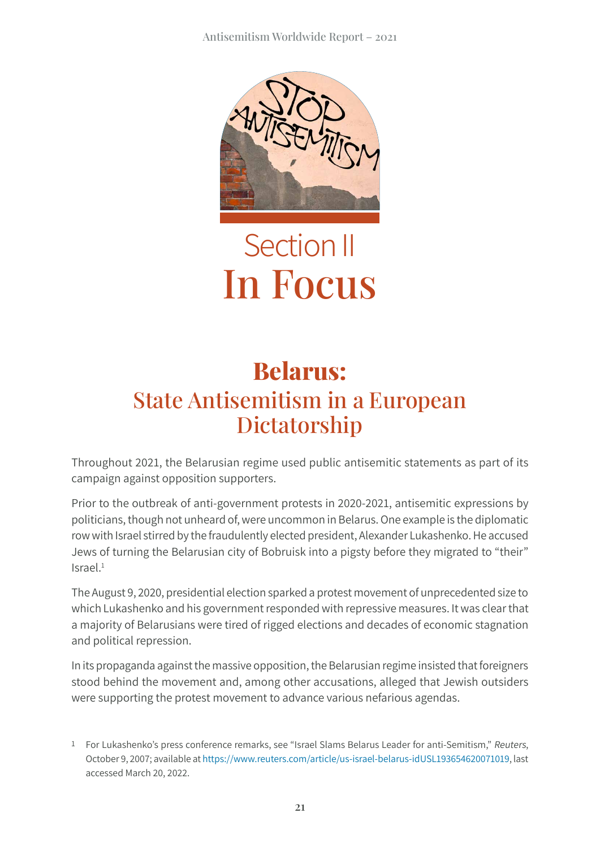

## Section II In Focus

#### **Belarus:** State Antisemitism in a European Dictatorship

Throughout 2021, the Belarusian regime used public antisemitic statements as part of its campaign against opposition supporters.

Prior to the outbreak of anti-government protests in 2020-2021, antisemitic expressions by politicians, though not unheard of, were uncommon in Belarus. One example is the diplomatic row with Israel stirred by the fraudulently elected president, Alexander Lukashenko. He accused Jews of turning the Belarusian city of Bobruisk into a pigsty before they migrated to "their" Israel.1

The August 9, 2020, presidential election sparked a protest movement of unprecedented size to which Lukashenko and his government responded with repressive measures. It was clear that a majority of Belarusians were tired of rigged elections and decades of economic stagnation and political repression.

In its propaganda against the massive opposition, the Belarusian regime insisted that foreigners stood behind the movement and, among other accusations, alleged that Jewish outsiders were supporting the protest movement to advance various nefarious agendas.

<sup>1</sup> For Lukashenko's press conference remarks, see "Israel Slams Belarus Leader for anti-Semitism," Reuters, October 9, 2007; available at [https://www.reuters.com/article/us-israel-belarus-idUSL193654620071019,](https://www.reuters.com/article/us-israel-belarus-idUSL193654620071019) last accessed March 20, 2022.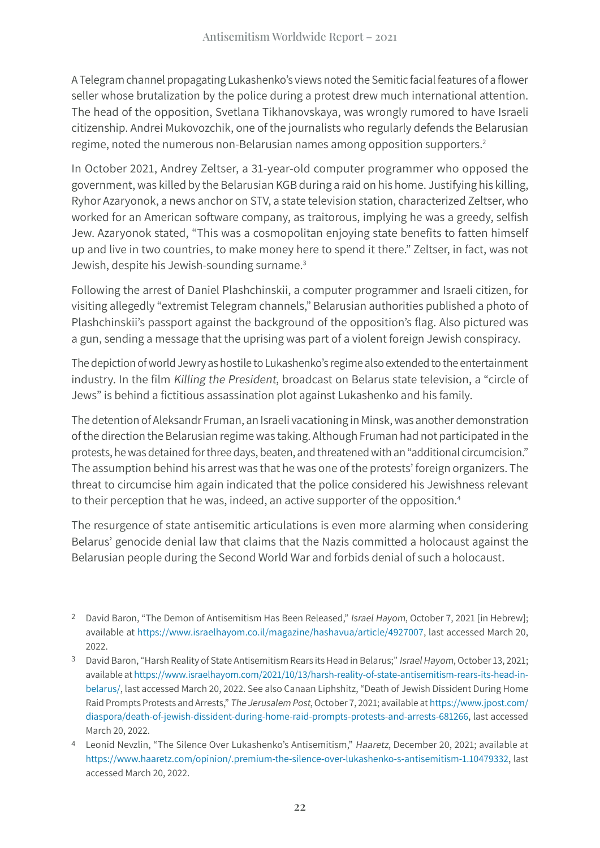A Telegram channel propagating Lukashenko's views noted the Semitic facial features of a flower seller whose brutalization by the police during a protest drew much international attention. The head of the opposition, Svetlana Tikhanovskaya, was wrongly rumored to have Israeli citizenship. Andrei Mukovozchik, one of the journalists who regularly defends the Belarusian regime, noted the numerous non-Belarusian names among opposition supporters.2

In October 2021, Andrey Zeltser, a 31-year-old computer programmer who opposed the government, was killed by the Belarusian KGB during a raid on his home. Justifying his killing, Ryhor Azaryonok, a news anchor on STV, a state television station, characterized Zeltser, who worked for an American software company, as traitorous, implying he was a greedy, selfish Jew. Azaryonok stated, "This was a cosmopolitan enjoying state benefits to fatten himself up and live in two countries, to make money here to spend it there." Zeltser, in fact, was not Jewish, despite his Jewish-sounding surname.3

Following the arrest of Daniel Plashchinskii, a computer programmer and Israeli citizen, for visiting allegedly "extremist Telegram channels," Belarusian authorities published a photo of Plashchinskii's passport against the background of the opposition's flag. Also pictured was a gun, sending a message that the uprising was part of a violent foreign Jewish conspiracy.

The depiction of world Jewry as hostile to Lukashenko's regime also extended to the entertainment industry. In the film Killing the President, broadcast on Belarus state television, a "circle of Jews" is behind a fictitious assassination plot against Lukashenko and his family.

The detention of Aleksandr Fruman, an Israeli vacationing in Minsk, was another demonstration of the direction the Belarusian regime was taking. Although Fruman had not participated in the protests, he was detained for three days, beaten, and threatened with an "additional circumcision." The assumption behind his arrest was that he was one of the protests' foreign organizers. The threat to circumcise him again indicated that the police considered his Jewishness relevant to their perception that he was, indeed, an active supporter of the opposition.<sup>4</sup>

The resurgence of state antisemitic articulations is even more alarming when considering Belarus' genocide denial law that claims that the Nazis committed a holocaust against the Belarusian people during the Second World War and forbids denial of such a holocaust.

<sup>&</sup>lt;sup>2</sup> David Baron, "The Demon of Antisemitism Has Been Released," Israel Hayom, October 7, 2021 [in Hebrew]; available at <https://www.israelhayom.co.il/magazine/hashavua/article/4927007>, last accessed March 20, 2022.

<sup>&</sup>lt;sup>3</sup> David Baron, "Harsh Reality of State Antisemitism Rears its Head in Belarus;" Israel Hayom, October 13, 2021; available at [https://www.israelhayom.com/2021/10/13/harsh-reality-of-state-antisemitism-rears-its-head-in](https://www.israelhayom.com/2021/10/13/harsh-reality-of-state-antisemitism-rears-its-head-in-belarus/)[belarus/](https://www.israelhayom.com/2021/10/13/harsh-reality-of-state-antisemitism-rears-its-head-in-belarus/), last accessed March 20, 2022. See also Canaan Liphshitz, "Death of Jewish Dissident During Home Raid Prompts Protests and Arrests," The Jerusalem Post, October 7, 2021; available at [https://www.jpost.com/](https://www.jpost.com/diaspora/death-of-jewish-dissident-during-home-raid-prompts-protests-and-arrests-681266) [diaspora/death-of-jewish-dissident-during-home-raid-prompts-protests-and-arrests-681266,](https://www.jpost.com/diaspora/death-of-jewish-dissident-during-home-raid-prompts-protests-and-arrests-681266) last accessed March 20, 2022.

<sup>4</sup> Leonid Nevzlin, "The Silence Over Lukashenko's Antisemitism," Haaretz, December 20, 2021; available at [https://www.haaretz.com/opinion/.premium-the-silence-over-lukashenko-s-antisemitism-1.10479332,](https://www.haaretz.com/opinion/.premium-the-silence-over-lukashenko-s-antisemitism-1.10479332) last accessed March 20, 2022.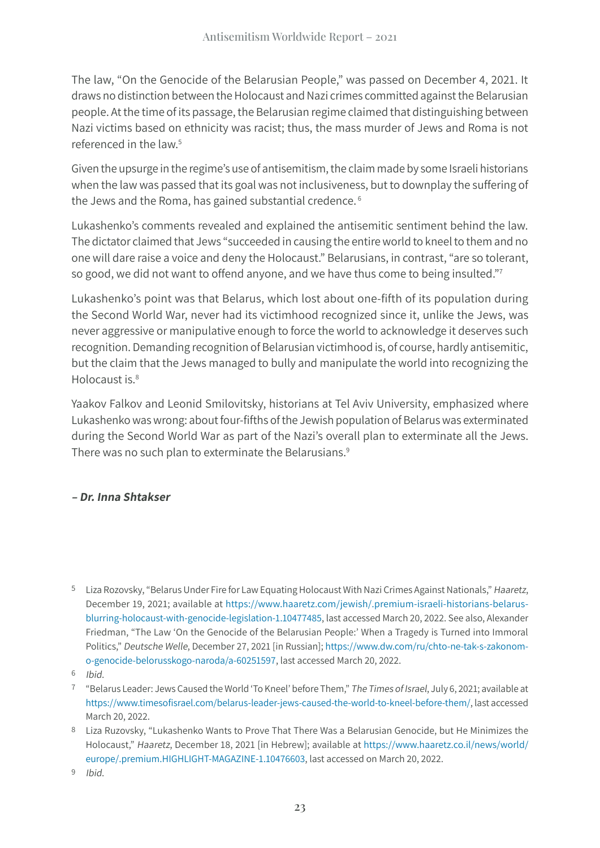The law, "On the Genocide of the Belarusian People," was passed on December 4, 2021. It draws no distinction between the Holocaust and Nazi crimes committed against the Belarusian people. At the time of its passage, the Belarusian regime claimed that distinguishing between Nazi victims based on ethnicity was racist; thus, the mass murder of Jews and Roma is not referenced in the law.5

Given the upsurge in the regime's use of antisemitism, the claim made by some Israeli historians when the law was passed that its goal was not inclusiveness, but to downplay the suffering of the Jews and the Roma, has gained substantial credence. <sup>6</sup>

Lukashenko's comments revealed and explained the antisemitic sentiment behind the law. The dictator claimed that Jews "succeeded in causing the entire world to kneel to them and no one will dare raise a voice and deny the Holocaust." Belarusians, in contrast, "are so tolerant, so good, we did not want to offend anyone, and we have thus come to being insulted."<sup>7</sup>

Lukashenko's point was that Belarus, which lost about one-fifth of its population during the Second World War, never had its victimhood recognized since it, unlike the Jews, was never aggressive or manipulative enough to force the world to acknowledge it deserves such recognition. Demanding recognition of Belarusian victimhood is, of course, hardly antisemitic, but the claim that the Jews managed to bully and manipulate the world into recognizing the Holocaust is.8

Yaakov Falkov and Leonid Smilovitsky, historians at Tel Aviv University, emphasized where Lukashenko was wrong: about four-fifths of the Jewish population of Belarus was exterminated during the Second World War as part of the Nazi's overall plan to exterminate all the Jews. There was no such plan to exterminate the Belarusians.<sup>9</sup>

#### **– Dr. Inna Shtakser**

<sup>5</sup> Liza Rozovsky, "Belarus Under Fire for Law Equating Holocaust With Nazi Crimes Against Nationals," Haaretz, December 19, 2021; available at [https://www.haaretz.com/jewish/.premium-israeli-historians-belarus](https://www.haaretz.com/jewish/.premium-israeli-historians-belarus-blurring-holocaust-with-genocide-legislation-1.10477485)[blurring-holocaust-with-genocide-legislation-1.10477485](https://www.haaretz.com/jewish/.premium-israeli-historians-belarus-blurring-holocaust-with-genocide-legislation-1.10477485), last accessed March 20, 2022. See also, Alexander Friedman, "The Law 'On the Genocide of the Belarusian People:' When a Tragedy is Turned into Immoral Politics," Deutsche Welle, December 27, 2021 [in Russian]; [https://www.dw.com/ru/chto-ne-tak-s-zakonom](https://www.dw.com/ru/chto-ne-tak-s-zakonom-o-genocide-belorusskogo-naroda/a-60251597)[o-genocide-belorusskogo-naroda/a-60251597,](https://www.dw.com/ru/chto-ne-tak-s-zakonom-o-genocide-belorusskogo-naroda/a-60251597) last accessed March 20, 2022.

<sup>6</sup> Ibid.

<sup>7</sup> "Belarus Leader: Jews Caused the World 'To Kneel' before Them," The Times of Israel, July 6, 2021; available at https://www.timesofisrael[.com/belarus-leader-jews-caused-the-world-to-kneel-before-them/,](https://www.timesofisrael.com/belarus-leader-jews-caused-the-world-to-kneel-before-them/) last accessed March 20, 2022.

<sup>8</sup> Liza Ruzovsky, "Lukashenko Wants to Prove That There Was a Belarusian Genocide, but He Minimizes the Holocaust," Haaretz, December 18, 2021 [in Hebrew]; available at [https://www.haaretz.co.il/news/world/](https://www.haaretz.co.il/news/world/europe/.premium.HIGHLIGHT-MAGAZINE-1.10476603) [europe/.premium.](https://www.haaretz.co.il/news/world/europe/.premium.HIGHLIGHT-MAGAZINE-1.10476603)HIGHLIGHT-MAGAZINE-1.10476603, last accessed on March 20, 2022.

<sup>9</sup> Ibid.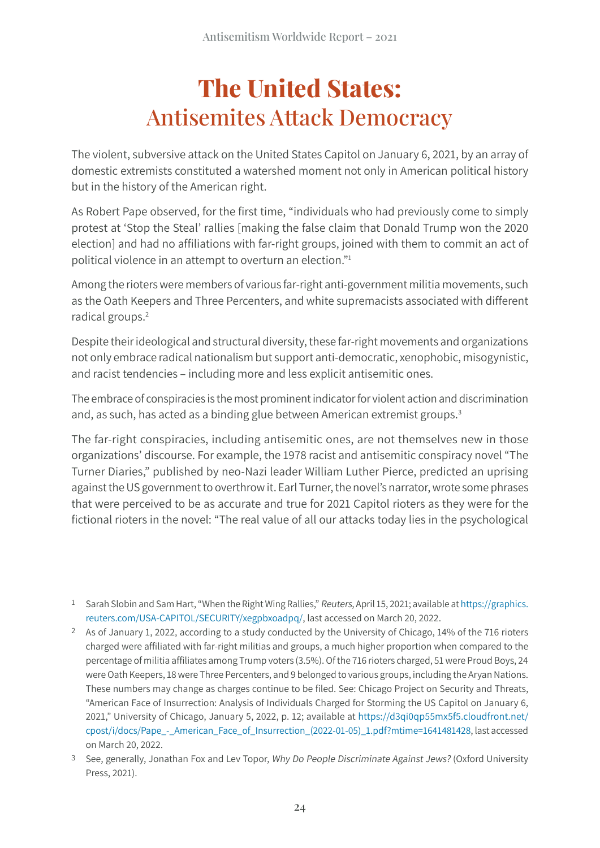## **The United States:** Antisemites Attack Democracy

The violent, subversive attack on the United States Capitol on January 6, 2021, by an array of domestic extremists constituted a watershed moment not only in American political history but in the history of the American right.

As Robert Pape observed, for the first time, "individuals who had previously come to simply protest at 'Stop the Steal' rallies [making the false claim that Donald Trump won the 2020 election] and had no affiliations with far-right groups, joined with them to commit an act of political violence in an attempt to overturn an election."1

Among the rioters were members of various far-right anti-government militia movements, such as the Oath Keepers and Three Percenters, and white supremacists associated with different radical groups.2

Despite their ideological and structural diversity, these far-right movements and organizations not only embrace radical nationalism but support anti-democratic, xenophobic, misogynistic, and racist tendencies – including more and less explicit antisemitic ones.

The embrace of conspiracies is the most prominent indicator for violent action and discrimination and, as such, has acted as a binding glue between American extremist groups.<sup>3</sup>

The far-right conspiracies, including antisemitic ones, are not themselves new in those organizations' discourse. For example, the 1978 racist and antisemitic conspiracy novel "The Turner Diaries," published by neo-Nazi leader William Luther Pierce, predicted an uprising against the US government to overthrow it. Earl Turner, the novel's narrator, wrote some phrases that were perceived to be as accurate and true for 2021 Capitol rioters as they were for the fictional rioters in the novel: "The real value of all our attacks today lies in the psychological

<sup>1</sup> Sarah Slobin and Sam Hart, "When the Right Wing Rallies," Reuters, April 15, 2021; available at [https://graphics.](https://graphics.reuters.com/USA-CAPITOL/SECURITY/xegpbxoadpq/) [reuters.com/USA-](https://graphics.reuters.com/USA-CAPITOL/SECURITY/xegpbxoadpq/)CAPITOL/SECURITY/xegpbxoadpq/, last accessed on March 20, 2022.

<sup>2</sup> As of January 1, 2022, according to a study conducted by the University of Chicago, 14% of the 716 rioters charged were affiliated with far-right militias and groups, a much higher proportion when compared to the percentage of militia affiliates among Trump voters (3.5%). Of the 716 rioters charged, 51 were Proud Boys, 24 were Oath Keepers, 18 were Three Percenters, and 9 belonged to various groups, including the Aryan Nations. These numbers may change as charges continue to be filed. See: Chicago Project on Security and Threats, "American Face of Insurrection: Analysis of Individuals Charged for Storming the US Capitol on January 6, 2021," University of Chicago, January 5, 2022, p. 12; available at https://[d3qi0qp55mx5f5](https://d3qi0qp55mx5f5.cloudfront.net/cpost/i/docs/Pape_-_American_Face_of_Insurrection_(2022-01-05)_1.pdf?mtime=1641481428).cloudfront.net/ [cpost/i/docs/Pape\\_-\\_American\\_Face\\_of\\_Insurrection\\_\(2022-01-05\)\\_1.pdf?mtime=1641481428](https://d3qi0qp55mx5f5.cloudfront.net/cpost/i/docs/Pape_-_American_Face_of_Insurrection_(2022-01-05)_1.pdf?mtime=1641481428), last accessed on March 20, 2022.

<sup>3</sup> See, generally, Jonathan Fox and Lev Topor, Why Do People Discriminate Against Jews? (Oxford University Press, 2021).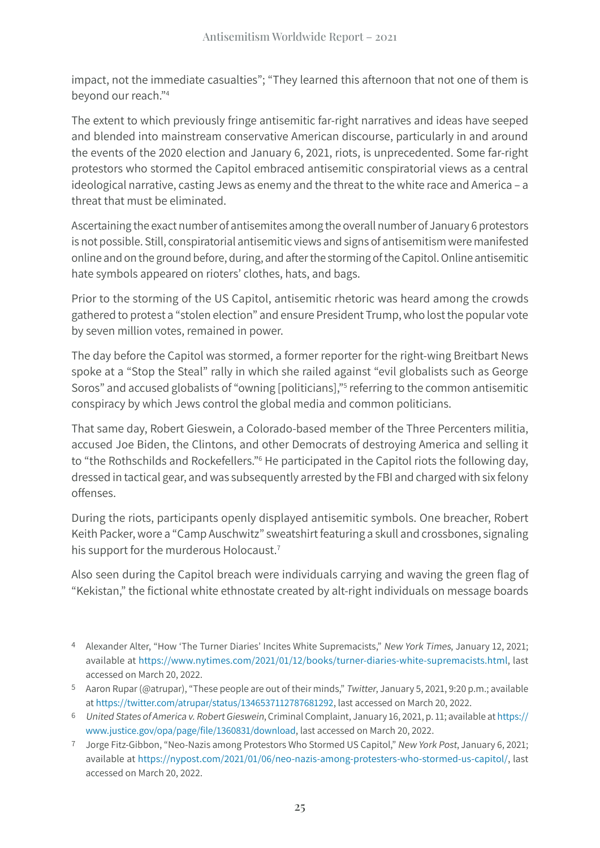impact, not the immediate casualties"; "They learned this afternoon that not one of them is beyond our reach."4

The extent to which previously fringe antisemitic far-right narratives and ideas have seeped and blended into mainstream conservative American discourse, particularly in and around the events of the 2020 election and January 6, 2021, riots, is unprecedented. Some far-right protestors who stormed the Capitol embraced antisemitic conspiratorial views as a central ideological narrative, casting Jews as enemy and the threat to the white race and America – a threat that must be eliminated.

Ascertaining the exact number of antisemites among the overall number of January 6 protestors is not possible. Still, conspiratorial antisemitic views and signs of antisemitism were manifested online and on the ground before, during, and after the storming of the Capitol. Online antisemitic hate symbols appeared on rioters' clothes, hats, and bags.

Prior to the storming of the US Capitol, antisemitic rhetoric was heard among the crowds gathered to protest a "stolen election" and ensure President Trump, who lost the popular vote by seven million votes, remained in power.

The day before the Capitol was stormed, a former reporter for the right-wing Breitbart News spoke at a "Stop the Steal" rally in which she railed against "evil globalists such as George Soros" and accused globalists of "owning [politicians],"<sup>5</sup> referring to the common antisemitic conspiracy by which Jews control the global media and common politicians.

That same day, Robert Gieswein, a Colorado-based member of the Three Percenters militia, accused Joe Biden, the Clintons, and other Democrats of destroying America and selling it to "the Rothschilds and Rockefellers."<sup>6</sup> He participated in the Capitol riots the following day, dressed in tactical gear, and was subsequently arrested by the FBI and charged with six felony offenses.

During the riots, participants openly displayed antisemitic symbols. One breacher, Robert Keith Packer, wore a "Camp Auschwitz" sweatshirt featuring a skull and crossbones, signaling his support for the murderous Holocaust.<sup>7</sup>

Also seen during the Capitol breach were individuals carrying and waving the green flag of "Kekistan," the fictional white ethnostate created by alt-right individuals on message boards

- 4 Alexander Alter, "How 'The Turner Diaries' Incites White Supremacists," New York Times, January 12, 2021; available at [https://www.nytimes.com/2021/01/12/books/turner-diaries-white-supremacists.html,](https://www.nytimes.com/2021/01/12/books/turner-diaries-white-supremacists.html) last accessed on March 20, 2022.
- 5 Aaron Rupar (@atrupar), "These people are out of their minds," Twitter, January 5, 2021, 9:20 p.m.; available at<https://twitter.com/atrupar/status/1346537112787681292>, last accessed on March 20, 2022.
- 6 United States of America v. Robert Gieswein, Criminal Complaint, January 16, 2021, p. 11; available at [https://](https://www.justice.gov/opa/page/file/1360831/download) [www.justice.gov/opa/page/](https://www.justice.gov/opa/page/file/1360831/download)file/1360831/download, last accessed on March 20, 2022.
- 7 Jorge Fitz-Gibbon, "Neo-Nazis among Protestors Who Stormed US Capitol," New York Post, January 6, 2021; available at <https://nypost.com/2021/01/06/neo-nazis-among-protesters-who-stormed-us-capitol/>, last accessed on March 20, 2022.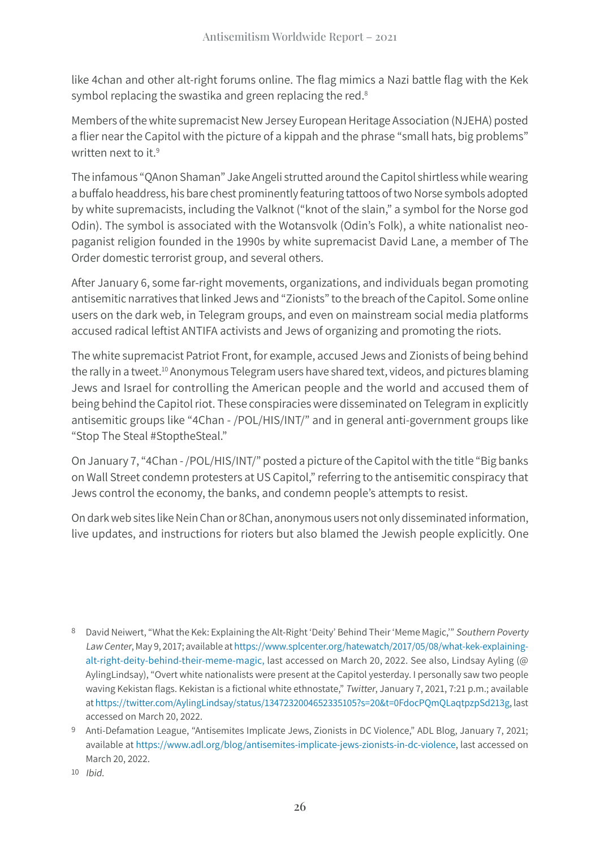like 4chan and other alt-right forums online. The flag mimics a Nazi battle flag with the Kek symbol replacing the swastika and green replacing the red.<sup>8</sup>

Members of the white supremacist New Jersey European Heritage Association (NJEHA) posted a flier near the Capitol with the picture of a kippah and the phrase "small hats, big problems" written next to it.<sup>9</sup>

The infamous "QAnon Shaman" Jake Angeli strutted around the Capitol shirtless while wearing a buffalo headdress, his bare chest prominently featuring tattoos of two Norse symbols adopted by white supremacists, including the Valknot ("knot of the slain," a symbol for the Norse god Odin). The symbol is associated with the Wotansvolk (Odin's Folk), a white nationalist neopaganist religion founded in the 1990s by white supremacist David Lane, a member of The Order domestic terrorist group, and several others.

After January 6, some far-right movements, organizations, and individuals began promoting antisemitic narratives that linked Jews and "Zionists" to the breach of the Capitol. Some online users on the dark web, in Telegram groups, and even on mainstream social media platforms accused radical leftist ANTIFA activists and Jews of organizing and promoting the riots.

The white supremacist Patriot Front, for example, accused Jews and Zionists of being behind the rally in a tweet.<sup>10</sup> Anonymous Telegram users have shared text, videos, and pictures blaming Jews and Israel for controlling the American people and the world and accused them of being behind the Capitol riot. These conspiracies were disseminated on Telegram in explicitly antisemitic groups like "4Chan - /POL/HIS/INT/" and in general anti-government groups like "Stop The Steal #StoptheSteal."

On January 7, "4Chan - /POL/HIS/INT/" posted a picture of the Capitol with the title "Big banks on Wall Street condemn protesters at US Capitol," referring to the antisemitic conspiracy that Jews control the economy, the banks, and condemn people's attempts to resist.

On dark web sites like Nein Chan or 8Chan, anonymous users not only disseminated information, live updates, and instructions for rioters but also blamed the Jewish people explicitly. One

<sup>8</sup> David Neiwert, "What the Kek: Explaining the Alt-Right 'Deity' Behind Their 'Meme Magic,'" Southern Poverty Law Center, May 9, 2017; available at [https://www.splcenter.org/hatewatch/2017/05/08/what-kek-explaining](https://www.splcenter.org/hatewatch/2017/05/08/what-kek-explaining-alt-right-deity-behind-their-meme-magic)[alt-right-deity-behind-their-meme-magic](https://www.splcenter.org/hatewatch/2017/05/08/what-kek-explaining-alt-right-deity-behind-their-meme-magic), last accessed on March 20, 2022. See also, Lindsay Ayling (@ AylingLindsay), "Overt white nationalists were present at the Capitol yesterday. I personally saw two people waving Kekistan flags. Kekistan is a fictional white ethnostate," Twitter, January 7, 2021, 7:21 p.m.; available at [https://twitter.com/AylingLindsay/status/1347232004652335105?s=20&t=](https://twitter.com/AylingLindsay/status/1347232004652335105?s=20&t=0FdocPQmQLaqtpzpSd213g)0FdocPQmQLaqtpzpSd213g, last accessed on March 20, 2022.

<sup>9</sup> Anti-Defamation League, "Antisemites Implicate Jews, Zionists in DC Violence," ADL Blog, January 7, 2021; available at <https://www.adl.org/blog/antisemites-implicate-jews-zionists-in-dc-violence>, last accessed on March 20, 2022.

<sup>10</sup> Ibid.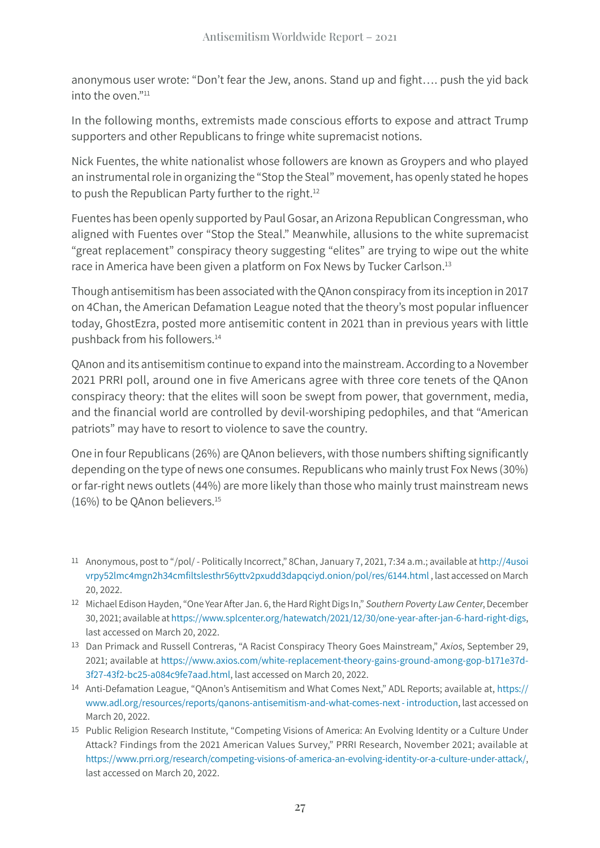anonymous user wrote: "Don't fear the Jew, anons. Stand up and fight…. push the yid back into the oven."11

In the following months, extremists made conscious efforts to expose and attract Trump supporters and other Republicans to fringe white supremacist notions.

Nick Fuentes, the white nationalist whose followers are known as Groypers and who played an instrumental role in organizing the "Stop the Steal" movement, has openly stated he hopes to push the Republican Party further to the right.<sup>12</sup>

Fuentes has been openly supported by Paul Gosar, an Arizona Republican Congressman, who aligned with Fuentes over "Stop the Steal." Meanwhile, allusions to the white supremacist "great replacement" conspiracy theory suggesting "elites" are trying to wipe out the white race in America have been given a platform on Fox News by Tucker Carlson.<sup>13</sup>

Though antisemitism has been associated with the QAnon conspiracy from its inception in 2017 on 4Chan, the American Defamation League noted that the theory's most popular influencer today, GhostEzra, posted more antisemitic content in 2021 than in previous years with little pushback from his followers.14

QAnon and its antisemitism continue to expand into the mainstream. According to a November 2021 PRRI poll, around one in five Americans agree with three core tenets of the QAnon conspiracy theory: that the elites will soon be swept from power, that government, media, and the financial world are controlled by devil-worshiping pedophiles, and that "American patriots" may have to resort to violence to save the country.

One in four Republicans (26%) are QAnon believers, with those numbers shifting significantly depending on the type of news one consumes. Republicans who mainly trust Fox News (30%) or far-right news outlets (44%) are more likely than those who mainly trust mainstream news (16%) to be QAnon believers.<sup>15</sup>

- 11 Anonymous, post to "/pol/ Politically Incorrect," 8Chan, January 7, 2021, 7:34 a.m.; available at [http://4usoi](http://4usoivrpy52lmc4mgn2h34cmfiltslesthr56yttv2pxudd3dapqciyd.onion/pol/res/6144.html) [vrpy52lmc4mgn2h34cmfiltslesthr56yttv2pxudd3dapqciyd](http://4usoivrpy52lmc4mgn2h34cmfiltslesthr56yttv2pxudd3dapqciyd.onion/pol/res/6144.html).onion/pol/res/6144.html , last accessed on March 20, 2022.
- 12 Michael Edison Hayden, "One Year After Jan. 6, the Hard Right Digs In," Southern Poverty Law Center, December 30, 2021; available at<https://www.splcenter.org/hatewatch/2021/12/30/one-year-after-jan-6-hard-right-digs>, last accessed on March 20, 2022.
- 13 Dan Primack and Russell Contreras, "A Racist Conspiracy Theory Goes Mainstream," Axios, September 29, 2021; available at [https://www.axios.com/white-replacement-theory-gains-ground-among-gop-b171e37d-](https://www.axios.com/white-replacement-theory-gains-ground-among-gop-b171e37d-3f27-43f2-bc25-a084c9fe7aad.html)[3f27-43f2-bc25-a084c9fe7aad.html,](https://www.axios.com/white-replacement-theory-gains-ground-among-gop-b171e37d-3f27-43f2-bc25-a084c9fe7aad.html) last accessed on March 20, 2022.
- 14 Anti-Defamation League, "QAnon's Antisemitism and What Comes Next," ADL Reports; available at, https:// www.adl.org/resources/reports/qanons-antisemitism-and-what-comes-next - introduction, last accessed on March 20, 2022.
- 15 Public Religion Research Institute, "Competing Visions of America: An Evolving Identity or a Culture Under Attack? Findings from the 2021 American Values Survey," PRRI Research, November 2021; available at <https://www.prri.org/research/competing-visions-of-america-an-evolving-identity-or-a-culture-under-attack/>, last accessed on March 20, 2022.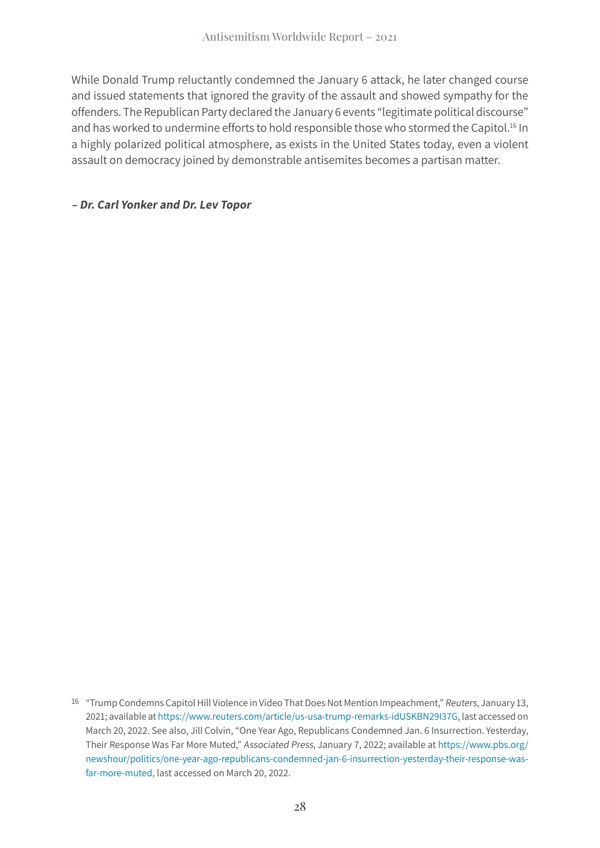While Donald Trump reluctantly condemned the January 6 attack, he later changed course and issued statements that ignored the gravity of the assault and showed sympathy for the offenders. The Republican Party declared the January 6 events "legitimate political discourse" and has worked to undermine efforts to hold responsible those who stormed the Capitol.<sup>16</sup> In a highly polarized political atmosphere, as exists in the United States today, even a violent assault on democracy joined by demonstrable antisemites becomes a partisan matter.

#### **– Dr. Carl Yonker and Dr. Lev Topor**

<sup>16</sup> "Trump Condemns Capitol Hill Violence in Video That Does Not Mention Impeachment," Reuters, January 13, 2021; available at [https://www.reuters.com/article/us-usa-trump-remarks-](https://www.reuters.com/article/us-usa-trump-remarks-idUSKBN29I37G)idUSKBN29I37G, last accessed on March 20, 2022. See also, Jill Colvin, "One Year Ago, Republicans Condemned Jan. 6 Insurrection. Yesterday, Their Response Was Far More Muted," Associated Press, January 7, 2022; available at [https://www.pbs.org/](https://www.pbs.org/newshour/politics/one-year-ago-republicans-condemned-jan-6-insurrection-yesterday-their-response-was-far-more-muted) [newshour/politics/one-year-ago-republicans-condemned-jan-6-insurrection-yesterday-their-response-was](https://www.pbs.org/newshour/politics/one-year-ago-republicans-condemned-jan-6-insurrection-yesterday-their-response-was-far-more-muted)[far-more-muted](https://www.pbs.org/newshour/politics/one-year-ago-republicans-condemned-jan-6-insurrection-yesterday-their-response-was-far-more-muted), last accessed on March 20, 2022.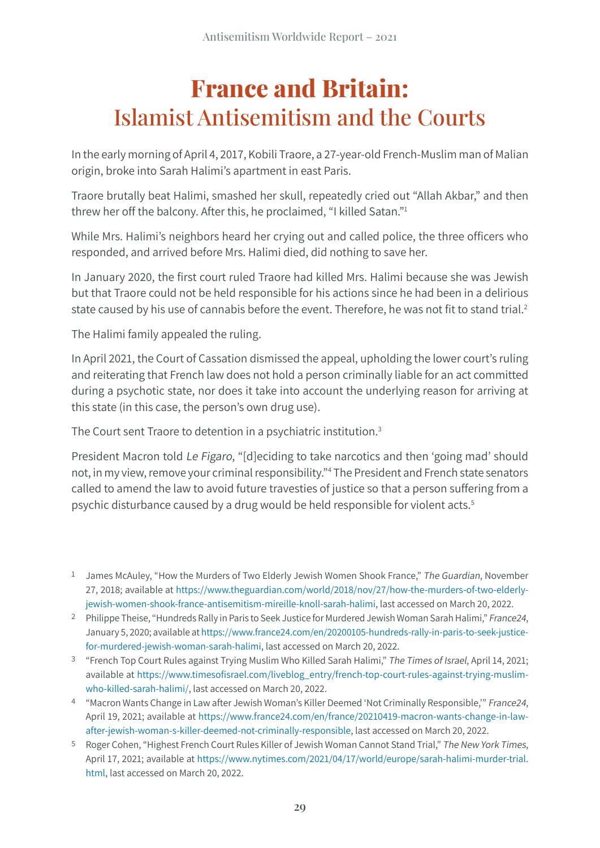## **France and Britain:**  Islamist Antisemitism and the Courts

In the early morning of April 4, 2017, Kobili Traore, a 27-year-old French-Muslim man of Malian origin, broke into Sarah Halimi's apartment in east Paris.

Traore brutally beat Halimi, smashed her skull, repeatedly cried out "Allah Akbar," and then threw her off the balcony. After this, he proclaimed, "I killed Satan."1

While Mrs. Halimi's neighbors heard her crying out and called police, the three officers who responded, and arrived before Mrs. Halimi died, did nothing to save her.

In January 2020, the first court ruled Traore had killed Mrs. Halimi because she was Jewish but that Traore could not be held responsible for his actions since he had been in a delirious state caused by his use of cannabis before the event. Therefore, he was not fit to stand trial.<sup>2</sup>

The Halimi family appealed the ruling.

In April 2021, the Court of Cassation dismissed the appeal, upholding the lower court's ruling and reiterating that French law does not hold a person criminally liable for an act committed during a psychotic state, nor does it take into account the underlying reason for arriving at this state (in this case, the person's own drug use).

The Court sent Traore to detention in a psychiatric institution.<sup>3</sup>

President Macron told Le Figaro, "[d]eciding to take narcotics and then 'going mad' should not, in my view, remove your criminal responsibility."4 The President and French state senators called to amend the law to avoid future travesties of justice so that a person suffering from a psychic disturbance caused by a drug would be held responsible for violent acts.<sup>5</sup>

- 2 Philippe Theise, "Hundreds Rally in Paris to Seek Justice for Murdered Jewish Woman Sarah Halimi," France24, January 5, 2020; available at [https://www.france24.com/en/20200105-hundreds-rally-in-paris-to-seek-justice](https://www.france24.com/en/20200105-hundreds-rally-in-paris-to-seek-justice-for-murdered-jewish-woman-sarah-halimi)[for-murdered-jewish-woman-sarah-halimi](https://www.france24.com/en/20200105-hundreds-rally-in-paris-to-seek-justice-for-murdered-jewish-woman-sarah-halimi), last accessed on March 20, 2022.
- 3 "French Top Court Rules against Trying Muslim Who Killed Sarah Halimi," The Times of Israel, April 14, 2021; available at https://www.timesofisrael[.com/liveblog\\_entry/french-top-court-rules-against-trying-muslim](https://www.timesofisrael.com/liveblog_entry/french-top-court-rules-against-trying-muslim-who-killed-sarah-halimi/)[who-killed-sarah-halimi/](https://www.timesofisrael.com/liveblog_entry/french-top-court-rules-against-trying-muslim-who-killed-sarah-halimi/), last accessed on March 20, 2022.
- 4 "Macron Wants Change in Law after Jewish Woman's Killer Deemed 'Not Criminally Responsible,'" France24, April 19, 2021; available at [https://www.france24.com/en/france/20210419-macron-wants-change-in-law](https://www.france24.com/en/france/20210419-macron-wants-change-in-law-after-jewish-woman-s-killer-deemed-not-criminally-responsible)[after-jewish-woman-s-killer-deemed-not-criminally-responsible](https://www.france24.com/en/france/20210419-macron-wants-change-in-law-after-jewish-woman-s-killer-deemed-not-criminally-responsible), last accessed on March 20, 2022.
- 5 Roger Cohen, "Highest French Court Rules Killer of Jewish Woman Cannot Stand Trial," The New York Times, April 17, 2021; available at [https://www.nytimes.com/2021/04/17/world/europe/sarah-halimi-murder-trial.](https://www.nytimes.com/2021/04/17/world/europe/sarah-halimi-murder-trial.html) [html](https://www.nytimes.com/2021/04/17/world/europe/sarah-halimi-murder-trial.html), last accessed on March 20, 2022.

<sup>&</sup>lt;sup>1</sup> James McAuley, "How the Murders of Two Elderly Jewish Women Shook France," The Guardian, November 27, 2018; available at [https://www.theguardian.com/world/2018/nov/27/how-the-murders-of-two-elderly](https://www.theguardian.com/world/2018/nov/27/how-the-murders-of-two-elderly-jewish-women-shook-france-antisemitism-mireille-knoll-sarah-halimi)[jewish-women-shook-france-antisemitism-mireille-knoll-sarah-halimi,](https://www.theguardian.com/world/2018/nov/27/how-the-murders-of-two-elderly-jewish-women-shook-france-antisemitism-mireille-knoll-sarah-halimi) last accessed on March 20, 2022.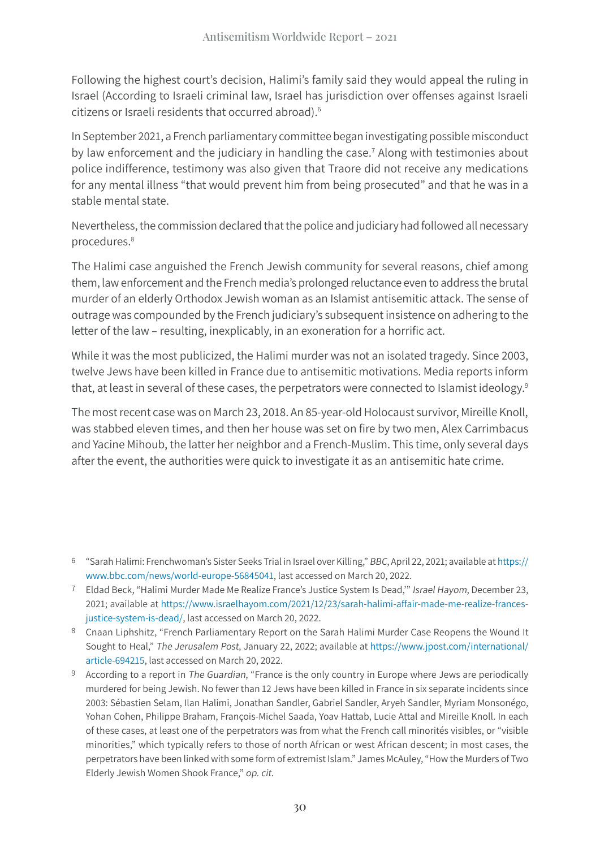Following the highest court's decision, Halimi's family said they would appeal the ruling in Israel (According to Israeli criminal law, Israel has jurisdiction over offenses against Israeli citizens or Israeli residents that occurred abroad).6

In September 2021, a French parliamentary committee began investigating possible misconduct by law enforcement and the judiciary in handling the case.<sup>7</sup> Along with testimonies about police indifference, testimony was also given that Traore did not receive any medications for any mental illness "that would prevent him from being prosecuted" and that he was in a stable mental state.

Nevertheless, the commission declared that the police and judiciary had followed all necessary procedures.8

The Halimi case anguished the French Jewish community for several reasons, chief among them, law enforcement and the French media's prolonged reluctance even to address the brutal murder of an elderly Orthodox Jewish woman as an Islamist antisemitic attack. The sense of outrage was compounded by the French judiciary's subsequent insistence on adhering to the letter of the law – resulting, inexplicably, in an exoneration for a horrific act.

While it was the most publicized, the Halimi murder was not an isolated tragedy. Since 2003, twelve Jews have been killed in France due to antisemitic motivations. Media reports inform that, at least in several of these cases, the perpetrators were connected to Islamist ideology.<sup>9</sup>

The most recent case was on March 23, 2018. An 85-year-old Holocaust survivor, Mireille Knoll, was stabbed eleven times, and then her house was set on fire by two men, Alex Carrimbacus and Yacine Mihoub, the latter her neighbor and a French-Muslim. This time, only several days after the event, the authorities were quick to investigate it as an antisemitic hate crime.

<sup>6</sup> "Sarah Halimi: Frenchwoman's Sister Seeks Trial in Israel over Killing," BBC, April 22, 2021; available at [https://](https://www.bbc.com/news/world-europe-56845041) [www.bbc.com/news/world-europe-56845041,](https://www.bbc.com/news/world-europe-56845041) last accessed on March 20, 2022.

<sup>7</sup> Eldad Beck, "Halimi Murder Made Me Realize France's Justice System Is Dead,'" Israel Hayom, December 23, 2021; available at [https://www.israelhayom.com/2021/12/23/sarah-halimi-affair-made-me-realize-frances](https://www.israelhayom.com/2021/12/23/sarah-halimi-affair-made-me-realize-frances-justice-system-is-dead/)[justice-system-is-dead/](https://www.israelhayom.com/2021/12/23/sarah-halimi-affair-made-me-realize-frances-justice-system-is-dead/), last accessed on March 20, 2022.

<sup>8</sup> Cnaan Liphshitz, "French Parliamentary Report on the Sarah Halimi Murder Case Reopens the Wound It Sought to Heal," The Jerusalem Post, January 22, 2022; available at [https://www.jpost.com/international/](https://www.jpost.com/international/article-694215) [article-694215](https://www.jpost.com/international/article-694215), last accessed on March 20, 2022.

<sup>9</sup> According to a report in The Guardian, "France is the only country in Europe where Jews are periodically murdered for being Jewish. No fewer than 12 Jews have been killed in France in six separate incidents since 2003: Sébastien Selam, Ilan Halimi, Jonathan Sandler, Gabriel Sandler, Aryeh Sandler, Myriam Monsonégo, Yohan Cohen, Philippe Braham, François-Michel Saada, Yoav Hattab, Lucie Attal and Mireille Knoll. In each of these cases, at least one of the perpetrators was from what the French call minorités visibles, or "visible minorities," which typically refers to those of north African or west African descent; in most cases, the perpetrators have been linked with some form of extremist Islam." James McAuley, "How the Murders of Two Elderly Jewish Women Shook France," op. cit.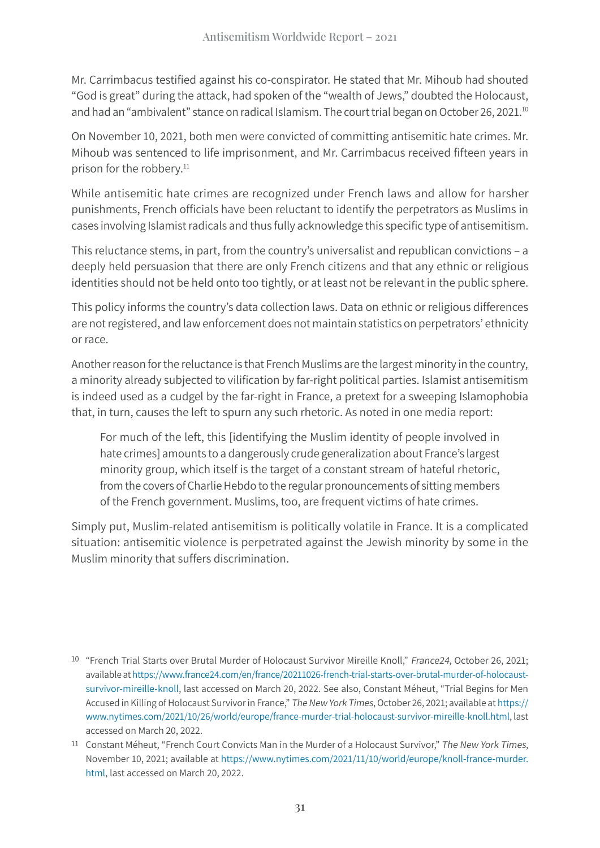Mr. Carrimbacus testified against his co-conspirator. He stated that Mr. Mihoub had shouted "God is great" during the attack, had spoken of the "wealth of Jews," doubted the Holocaust, and had an "ambivalent" stance on radical Islamism. The court trial began on October 26, 2021.<sup>10</sup>

On November 10, 2021, both men were convicted of committing antisemitic hate crimes. Mr. Mihoub was sentenced to life imprisonment, and Mr. Carrimbacus received fifteen years in prison for the robbery.<sup>11</sup>

While antisemitic hate crimes are recognized under French laws and allow for harsher punishments, French officials have been reluctant to identify the perpetrators as Muslims in cases involving Islamist radicals and thus fully acknowledge this specific type of antisemitism.

This reluctance stems, in part, from the country's universalist and republican convictions – a deeply held persuasion that there are only French citizens and that any ethnic or religious identities should not be held onto too tightly, or at least not be relevant in the public sphere.

This policy informs the country's data collection laws. Data on ethnic or religious differences are not registered, and law enforcement does not maintain statistics on perpetrators' ethnicity or race.

Another reason for the reluctance is that French Muslims are the largest minority in the country, a minority already subjected to vilification by far-right political parties. Islamist antisemitism is indeed used as a cudgel by the far-right in France, a pretext for a sweeping Islamophobia that, in turn, causes the left to spurn any such rhetoric. As noted in one media report:

For much of the left, this [identifying the Muslim identity of people involved in hate crimes] amounts to a dangerously crude generalization about France's largest minority group, which itself is the target of a constant stream of hateful rhetoric, from the covers of Charlie Hebdo to the regular pronouncements of sitting members of the French government. Muslims, too, are frequent victims of hate crimes.

Simply put, Muslim-related antisemitism is politically volatile in France. It is a complicated situation: antisemitic violence is perpetrated against the Jewish minority by some in the Muslim minority that suffers discrimination.

<sup>10</sup> "French Trial Starts over Brutal Murder of Holocaust Survivor Mireille Knoll," France24, October 26, 2021; available at [https://www.france24.com/en/france/20211026-french-trial-starts-over-brutal-murder-of-holocaust](https://www.france24.com/en/france/20211026-french-trial-starts-over-brutal-murder-of-holocaust-survivor-mireille-knoll)[survivor-mireille-knoll](https://www.france24.com/en/france/20211026-french-trial-starts-over-brutal-murder-of-holocaust-survivor-mireille-knoll), last accessed on March 20, 2022. See also, Constant Méheut, "Trial Begins for Men Accused in Killing of Holocaust Survivor in France," The New York Times, October 26, 2021; available at [https://](https://www.nytimes.com/2021/10/26/world/europe/france-murder-trial-holocaust-survivor-mireille-knoll.html) [www.nytimes.com/2021/10/26/world/europe/france-murder-trial-holocaust-survivor-mireille-knoll.html,](https://www.nytimes.com/2021/10/26/world/europe/france-murder-trial-holocaust-survivor-mireille-knoll.html) last accessed on March 20, 2022.

<sup>11</sup> Constant Méheut, "French Court Convicts Man in the Murder of a Holocaust Survivor," The New York Times, November 10, 2021; available at [https://www.nytimes.com/2021/11/10/world/europe/knoll-france-murder.](https://www.nytimes.com/2021/11/10/world/europe/knoll-france-murder.html) [html](https://www.nytimes.com/2021/11/10/world/europe/knoll-france-murder.html), last accessed on March 20, 2022.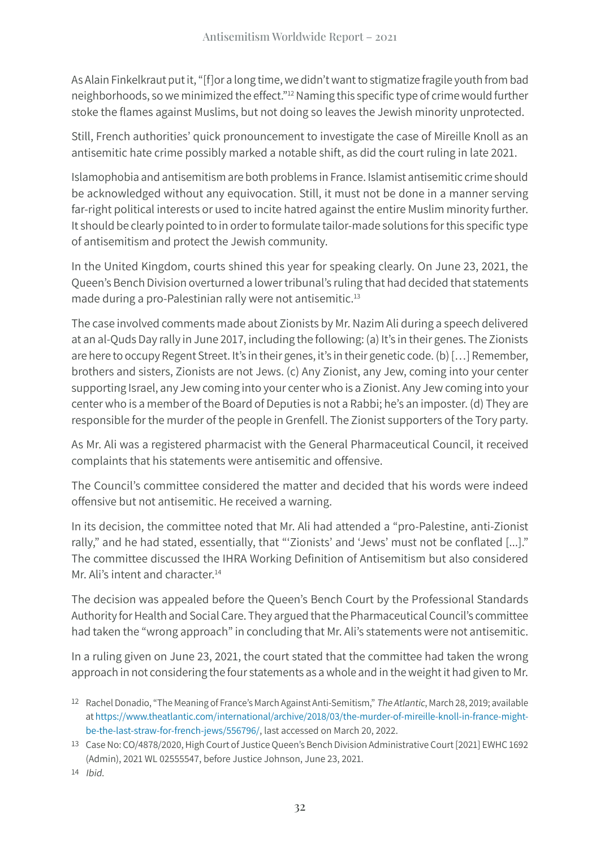As Alain Finkelkraut put it, "[f]or a long time, we didn't want to stigmatize fragile youth from bad neighborhoods, so we minimized the effect."12 Naming this specific type of crime would further stoke the flames against Muslims, but not doing so leaves the Jewish minority unprotected.

Still, French authorities' quick pronouncement to investigate the case of Mireille Knoll as an antisemitic hate crime possibly marked a notable shift, as did the court ruling in late 2021.

Islamophobia and antisemitism are both problems in France. Islamist antisemitic crime should be acknowledged without any equivocation. Still, it must not be done in a manner serving far-right political interests or used to incite hatred against the entire Muslim minority further. It should be clearly pointed to in order to formulate tailor-made solutions for this specific type of antisemitism and protect the Jewish community.

In the United Kingdom, courts shined this year for speaking clearly. On June 23, 2021, the Queen's Bench Division overturned a lower tribunal's ruling that had decided that statements made during a pro-Palestinian rally were not antisemitic.<sup>13</sup>

The case involved comments made about Zionists by Mr. Nazim Ali during a speech delivered at an al-Quds Day rally in June 2017, including the following: (a) It's in their genes. The Zionists are here to occupy Regent Street. It's in their genes, it's in their genetic code. (b) [...] Remember, brothers and sisters, Zionists are not Jews. (c) Any Zionist, any Jew, coming into your center supporting Israel, any Jew coming into your center who is a Zionist. Any Jew coming into your center who is a member of the Board of Deputies is not a Rabbi; he's an imposter. (d) They are responsible for the murder of the people in Grenfell. The Zionist supporters of the Tory party.

As Mr. Ali was a registered pharmacist with the General Pharmaceutical Council, it received complaints that his statements were antisemitic and offensive.

The Council's committee considered the matter and decided that his words were indeed offensive but not antisemitic. He received a warning.

In its decision, the committee noted that Mr. Ali had attended a "pro-Palestine, anti-Zionist rally," and he had stated, essentially, that "'Zionists' and 'Jews' must not be conflated [...]." The committee discussed the IHRA Working Definition of Antisemitism but also considered Mr. Ali's intent and character.<sup>14</sup>

The decision was appealed before the Queen's Bench Court by the Professional Standards Authority for Health and Social Care. They argued that the Pharmaceutical Council's committee had taken the "wrong approach" in concluding that Mr. Ali's statements were not antisemitic.

In a ruling given on June 23, 2021, the court stated that the committee had taken the wrong approach in not considering the four statements as a whole and in the weight it had given to Mr.

<sup>12</sup> Rachel Donadio, "The Meaning of France's March Against Anti-Semitism," The Atlantic, March 28, 2019; available at [https://www.theatlantic.com/international/archive/2018/03/the-murder-of-mireille-knoll-in-france-might](https://www.theatlantic.com/international/archive/2018/03/the-murder-of-mireille-knoll-in-france-might-be-the-last-straw-for-french-jews/556796/)[be-the-last-straw-for-french-jews/556796/,](https://www.theatlantic.com/international/archive/2018/03/the-murder-of-mireille-knoll-in-france-might-be-the-last-straw-for-french-jews/556796/) last accessed on March 20, 2022.

<sup>13</sup> Case No: CO/4878/2020, High Court of Justice Queen's Bench Division Administrative Court [2021] EWHC 1692 (Admin), 2021 WL 02555547, before Justice Johnson, June 23, 2021.

<sup>14</sup> Ibid.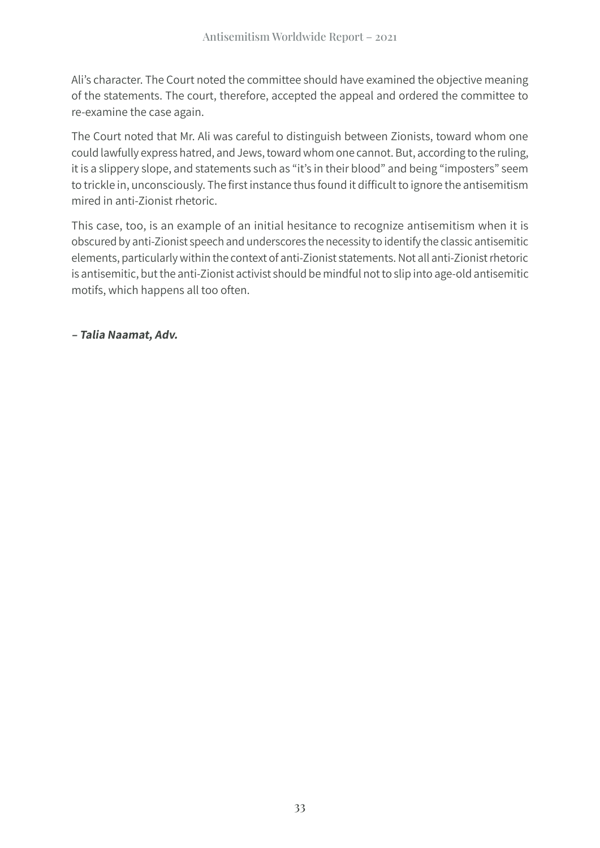Ali's character. The Court noted the committee should have examined the objective meaning of the statements. The court, therefore, accepted the appeal and ordered the committee to re-examine the case again.

The Court noted that Mr. Ali was careful to distinguish between Zionists, toward whom one could lawfully express hatred, and Jews, toward whom one cannot. But, according to the ruling, it is a slippery slope, and statements such as "it's in their blood" and being "imposters" seem to trickle in, unconsciously. The first instance thus found it difficult to ignore the antisemitism mired in anti-Zionist rhetoric.

This case, too, is an example of an initial hesitance to recognize antisemitism when it is obscured by anti-Zionist speech and underscores the necessity to identify the classic antisemitic elements, particularly within the context of anti-Zionist statements. Not all anti-Zionist rhetoric is antisemitic, but the anti-Zionist activist should be mindful not to slip into age-old antisemitic motifs, which happens all too often.

**– Talia Naamat, Adv.**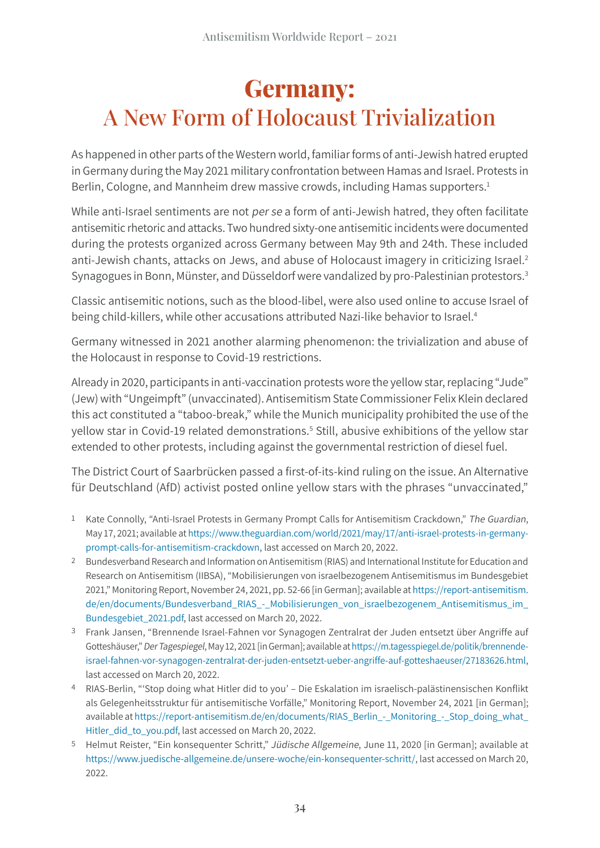#### **Germany:** A New Form of Holocaust Trivialization

As happened in other parts of the Western world, familiar forms of anti-Jewish hatred erupted in Germany during the May 2021 military confrontation between Hamas and Israel. Protests in Berlin, Cologne, and Mannheim drew massive crowds, including Hamas supporters.<sup>1</sup>

While anti-Israel sentiments are not per se a form of anti-Jewish hatred, they often facilitate antisemitic rhetoric and attacks. Two hundred sixty-one antisemitic incidents were documented during the protests organized across Germany between May 9th and 24th. These included anti-Jewish chants, attacks on Jews, and abuse of Holocaust imagery in criticizing Israel.<sup>2</sup> Synagogues in Bonn, Münster, and Düsseldorf were vandalized by pro-Palestinian protestors.<sup>3</sup>

Classic antisemitic notions, such as the blood-libel, were also used online to accuse Israel of being child-killers, while other accusations attributed Nazi-like behavior to Israel.<sup>4</sup>

Germany witnessed in 2021 another alarming phenomenon: the trivialization and abuse of the Holocaust in response to Covid-19 restrictions.

Already in 2020, participants in anti-vaccination protests wore the yellow star, replacing "Jude" (Jew) with "Ungeimpft" (unvaccinated). Antisemitism State Commissioner Felix Klein declared this act constituted a "taboo-break," while the Munich municipality prohibited the use of the yellow star in Covid-19 related demonstrations.<sup>5</sup> Still, abusive exhibitions of the yellow star extended to other protests, including against the governmental restriction of diesel fuel.

The District Court of Saarbrücken passed a first-of-its-kind ruling on the issue. An Alternative für Deutschland (AfD) activist posted online yellow stars with the phrases "unvaccinated,"

- 1 Kate Connolly, "Anti-Israel Protests in Germany Prompt Calls for Antisemitism Crackdown," The Guardian, May 17, 2021; available at [https://www.theguardian.com/world/2021/may/17/anti-israel-protests-in-germany](https://www.theguardian.com/world/2021/may/17/anti-israel-protests-in-germany-prompt-calls-for-antisemitism-crackdown)[prompt-calls-for-antisemitism-crackdown,](https://www.theguardian.com/world/2021/may/17/anti-israel-protests-in-germany-prompt-calls-for-antisemitism-crackdown) last accessed on March 20, 2022.
- 2 Bundesverband Research and Information on Antisemitism (RIAS) and International Institute for Education and Research on Antisemitism (IIBSA), "Mobilisierungen von israelbezogenem Antisemitismus im Bundesgebiet 2021," Monitoring Report, November 24, 2021, pp. 52-66 [in German]; available at [https://report-antisemitism.](https://report-antisemitism.de/en/documents/Bundesverband_RIAS_-_Mobilisierungen_von_israelbezogenem_Antisemitismus_im_Bundesgebiet_2021.pdf) [de/en/documents/Bundesverband\\_RIAS\\_-\\_Mobilisierungen\\_von\\_israelbezogenem\\_Antisemitismus\\_im\\_](https://report-antisemitism.de/en/documents/Bundesverband_RIAS_-_Mobilisierungen_von_israelbezogenem_Antisemitismus_im_Bundesgebiet_2021.pdf) [Bundesgebiet\\_2021.pdf](https://report-antisemitism.de/en/documents/Bundesverband_RIAS_-_Mobilisierungen_von_israelbezogenem_Antisemitismus_im_Bundesgebiet_2021.pdf), last accessed on March 20, 2022.
- 3 Frank Jansen, "Brennende Israel-Fahnen vor Synagogen Zentralrat der Juden entsetzt über Angriffe auf Gotteshäuser," Der Tagespiegel, May 12, 2021 [in German]; available at [https://m.tagesspiegel.de/politik/brennende](https://m.tagesspiegel.de/politik/brennende-israel-fahnen-vor-synagogen-zentralrat-der-juden-entsetzt-ueber-angriffe-auf-gotteshaeuser/27183626.html)[israel-fahnen-vor-synagogen-zentralrat-der-juden-entsetzt-ueber-angriffe-auf-gotteshaeuser/27183626.html](https://m.tagesspiegel.de/politik/brennende-israel-fahnen-vor-synagogen-zentralrat-der-juden-entsetzt-ueber-angriffe-auf-gotteshaeuser/27183626.html), last accessed on March 20, 2022.
- 4 RIAS-Berlin, "'Stop doing what Hitler did to you' Die Eskalation im israelisch-palästinensischen Konflikt als Gelegenheitsstruktur für antisemitische Vorfälle," Monitoring Report, November 24, 2021 [in German]; available at [https://report-antisemitism.de/en/documents/RIAS\\_Berlin\\_-\\_Monitoring\\_-\\_Stop\\_doing\\_what\\_](https://report-antisemitism.de/en/documents/RIAS_Berlin_-_Monitoring_-_Stop_doing_what_Hitler_did_to_you.pdf) [Hitler\\_did\\_to\\_you.pdf](https://report-antisemitism.de/en/documents/RIAS_Berlin_-_Monitoring_-_Stop_doing_what_Hitler_did_to_you.pdf), last accessed on March 20, 2022.
- 5 Helmut Reister, "Ein konsequenter Schritt," Jüdische Allgemeine, June 11, 2020 [in German]; available at [https://www.juedische-allgemeine.de/unsere-woche/ein-](https://www.juedische-allgemeine.de/unsere-woche/ein-konsequenter-schritt/)konsequenter-schritt/, last accessed on March 20, 2022.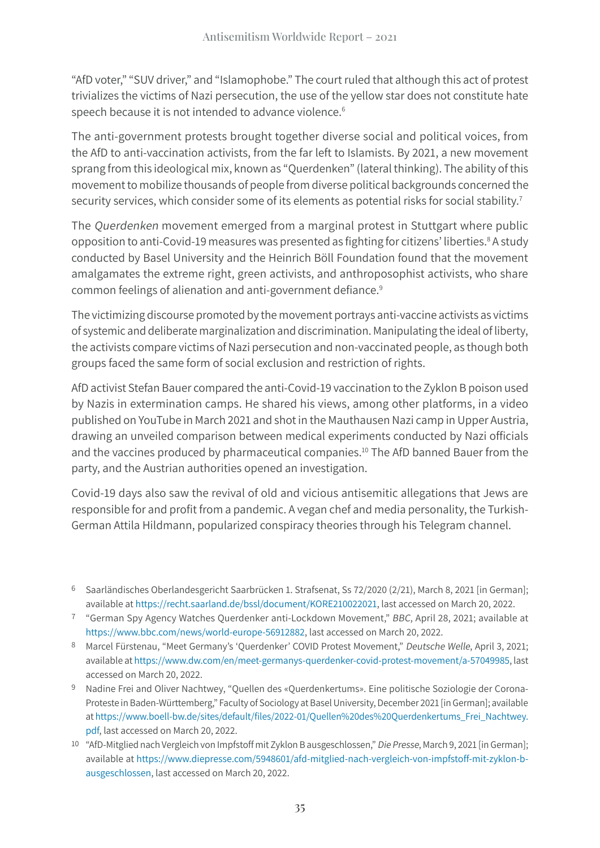"AfD voter," "SUV driver," and "Islamophobe." The court ruled that although this act of protest trivializes the victims of Nazi persecution, the use of the yellow star does not constitute hate speech because it is not intended to advance violence.<sup>6</sup>

The anti-government protests brought together diverse social and political voices, from the AfD to anti-vaccination activists, from the far left to Islamists. By 2021, a new movement sprang from this ideological mix, known as "Querdenken" (lateral thinking). The ability of this movement to mobilize thousands of people from diverse political backgrounds concerned the security services, which consider some of its elements as potential risks for social stability.<sup>7</sup>

The Querdenken movement emerged from a marginal protest in Stuttgart where public opposition to anti-Covid-19 measures was presented as fighting for citizens' liberties.<sup>8</sup> A study conducted by Basel University and the Heinrich Böll Foundation found that the movement amalgamates the extreme right, green activists, and anthroposophist activists, who share common feelings of alienation and anti-government defiance.<sup>9</sup>

The victimizing discourse promoted by the movement portrays anti-vaccine activists as victims of systemic and deliberate marginalization and discrimination. Manipulating the ideal of liberty, the activists compare victims of Nazi persecution and non-vaccinated people, as though both groups faced the same form of social exclusion and restriction of rights.

AfD activist Stefan Bauer compared the anti-Covid-19 vaccination to the Zyklon B poison used by Nazis in extermination camps. He shared his views, among other platforms, in a video published on YouTube in March 2021 and shot in the Mauthausen Nazi camp in Upper Austria, drawing an unveiled comparison between medical experiments conducted by Nazi officials and the vaccines produced by pharmaceutical companies.<sup>10</sup> The AfD banned Bauer from the party, and the Austrian authorities opened an investigation.

Covid-19 days also saw the revival of old and vicious antisemitic allegations that Jews are responsible for and profit from a pandemic. A vegan chef and media personality, the Turkish-German Attila Hildmann, popularized conspiracy theories through his Telegram channel.

<sup>6</sup> Saarländisches Oberlandesgericht Saarbrücken 1. Strafsenat, Ss 72/2020 (2/21), March 8, 2021 [in German]; available at [https://recht.saarland.de/bssl/document/](https://recht.saarland.de/bssl/document/KORE210022021)KORE210022021, last accessed on March 20, 2022.

<sup>7</sup> "German Spy Agency Watches Querdenker anti-Lockdown Movement," BBC, April 28, 2021; available at <https://www.bbc.com/news/world-europe-56912882>, last accessed on March 20, 2022.

<sup>8</sup> Marcel Fürstenau, "Meet Germany's 'Querdenker' COVID Protest Movement," Deutsche Welle, April 3, 2021; available at [https://www.dw.com/en/meet-germanys-](https://www.dw.com/en/meet-germanys-querdenker-covid-protest-movement/a-57049985)querdenker-covid-protest-movement/a-57049985, last accessed on March 20, 2022.

<sup>9</sup> Nadine Frei and Oliver Nachtwey, "Quellen des «Querdenkertums». Eine politische Soziologie der Corona-Proteste in Baden-Württemberg," Faculty of Sociology at Basel University, December 2021 [in German]; available at [https://www.boell-bw.de/sites/default/](https://www.boell-bw.de/sites/default/files/2022-01/Quellen%20des%20Querdenkertums_Frei_Nachtwey.pdf)files/2022-01/Quellen%20des%20Querdenkertums\_Frei\_Nachtwey. [pdf](https://www.boell-bw.de/sites/default/files/2022-01/Quellen%20des%20Querdenkertums_Frei_Nachtwey.pdf), last accessed on March 20, 2022.

<sup>10</sup> "AfD-Mitglied nach Vergleich von Impfstoff mit Zyklon B ausgeschlossen," Die Presse, March 9, 2021 [in German]; available at [https://www.diepresse.com/5948601/afd-mitglied-nach-vergleich-von-impfstoff-mit-zyklon-b](https://www.diepresse.com/5948601/afd-mitglied-nach-vergleich-von-impfstoff-mit-zyklon-b-ausgeschlossen)[ausgeschlossen](https://www.diepresse.com/5948601/afd-mitglied-nach-vergleich-von-impfstoff-mit-zyklon-b-ausgeschlossen), last accessed on March 20, 2022.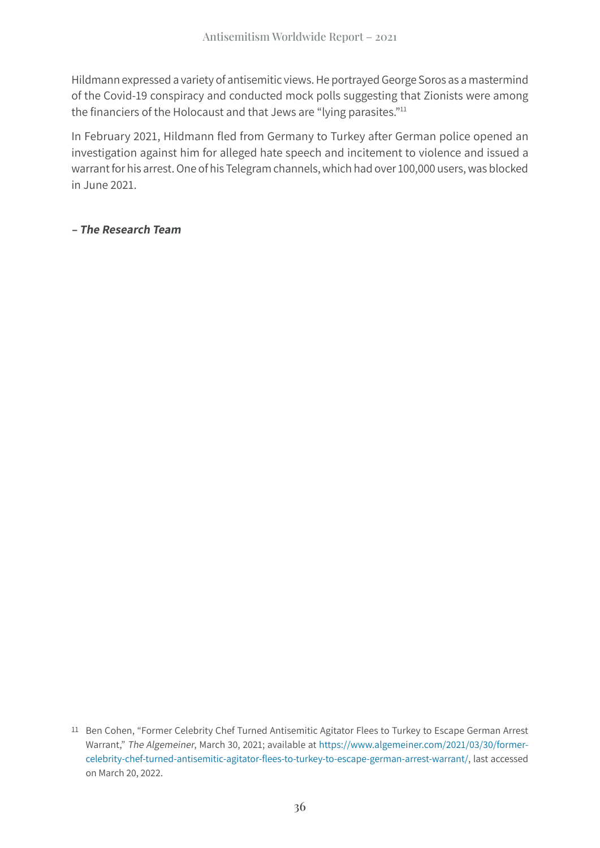Hildmann expressed a variety of antisemitic views. He portrayed George Soros as a mastermind of the Covid-19 conspiracy and conducted mock polls suggesting that Zionists were among the financiers of the Holocaust and that Jews are "lying parasites."<sup>11</sup>

In February 2021, Hildmann fled from Germany to Turkey after German police opened an investigation against him for alleged hate speech and incitement to violence and issued a warrant for his arrest. One of his Telegram channels, which had over 100,000 users, was blocked in June 2021.

**– The Research Team**

<sup>11</sup> Ben Cohen, "Former Celebrity Chef Turned Antisemitic Agitator Flees to Turkey to Escape German Arrest Warrant," The Algemeiner, March 30, 2021; available at [https://www.algemeiner.com/2021/03/30/former](https://www.algemeiner.com/2021/03/30/former-celebrity-chef-turned-antisemitic-agitator-flees-to-turkey-to-escape-german-arrest-warrant/)celebrity-chef-turned-antisemitic-agitator-flees[-to-turkey-to-escape-german-arrest-warrant/,](https://www.algemeiner.com/2021/03/30/former-celebrity-chef-turned-antisemitic-agitator-flees-to-turkey-to-escape-german-arrest-warrant/) last accessed on March 20, 2022.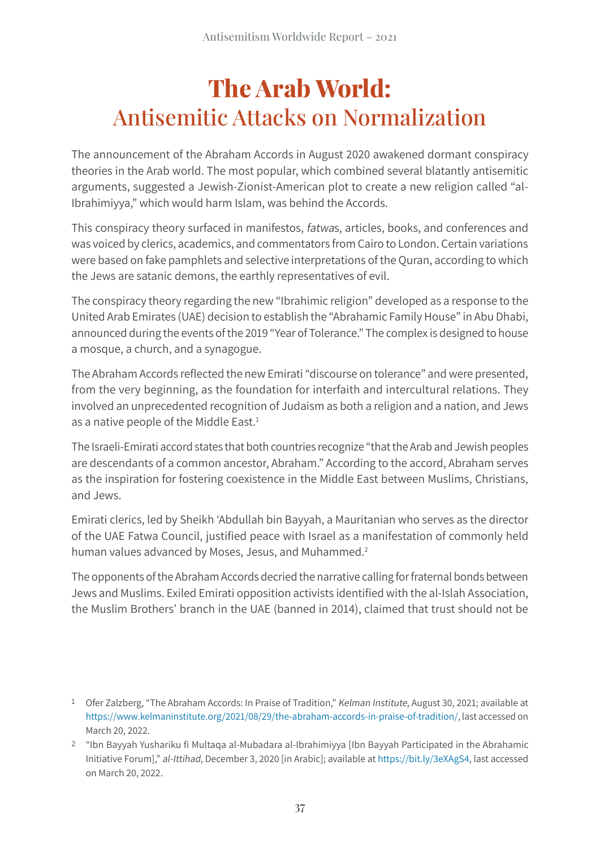## **The Arab World:** Antisemitic Attacks on Normalization

The announcement of the Abraham Accords in August 2020 awakened dormant conspiracy theories in the Arab world. The most popular, which combined several blatantly antisemitic arguments, suggested a Jewish-Zionist-American plot to create a new religion called "al-Ibrahimiyya," which would harm Islam, was behind the Accords.

This conspiracy theory surfaced in manifestos, fatwas, articles, books, and conferences and was voiced by clerics, academics, and commentators from Cairo to London. Certain variations were based on fake pamphlets and selective interpretations of the Quran, according to which the Jews are satanic demons, the earthly representatives of evil.

The conspiracy theory regarding the new "Ibrahimic religion" developed as a response to the United Arab Emirates (UAE) decision to establish the "Abrahamic Family House" in Abu Dhabi, announced during the events of the 2019 "Year of Tolerance." The complex is designed to house a mosque, a church, and a synagogue.

The Abraham Accords reflected the new Emirati "discourse on tolerance" and were presented, from the very beginning, as the foundation for interfaith and intercultural relations. They involved an unprecedented recognition of Judaism as both a religion and a nation, and Jews as a native people of the Middle East.<sup>1</sup>

The Israeli-Emirati accord states that both countries recognize "that the Arab and Jewish peoples are descendants of a common ancestor, Abraham." According to the accord, Abraham serves as the inspiration for fostering coexistence in the Middle East between Muslims, Christians, and Jews.

Emirati clerics, led by Sheikh 'Abdullah bin Bayyah, a Mauritanian who serves as the director of the UAE Fatwa Council, justified peace with Israel as a manifestation of commonly held human values advanced by Moses, Jesus, and Muhammed.<sup>2</sup>

The opponents of the Abraham Accords decried the narrative calling for fraternal bonds between Jews and Muslims. Exiled Emirati opposition activists identified with the al-Islah Association, the Muslim Brothers' branch in the UAE (banned in 2014), claimed that trust should not be

<sup>1</sup> Ofer Zalzberg, "The Abraham Accords: In Praise of Tradition," Kelman Institute, August 30, 2021; available at <https://www.kelmaninstitute.org/2021/08/29/the-abraham-accords-in-praise-of-tradition/>, last accessed on March 20, 2022.

<sup>2</sup> "Ibn Bayyah Yushariku fi Multaqa al-Mubadara al-Ibrahimiyya [Ibn Bayyah Participated in the Abrahamic Initiative Forum]," al-Ittihad, December 3, 2020 [in Arabic]; available at [https://bit.ly/3eXAgS4,](https://bit.ly/3eXAgS4,l) last accessed on March 20, 2022.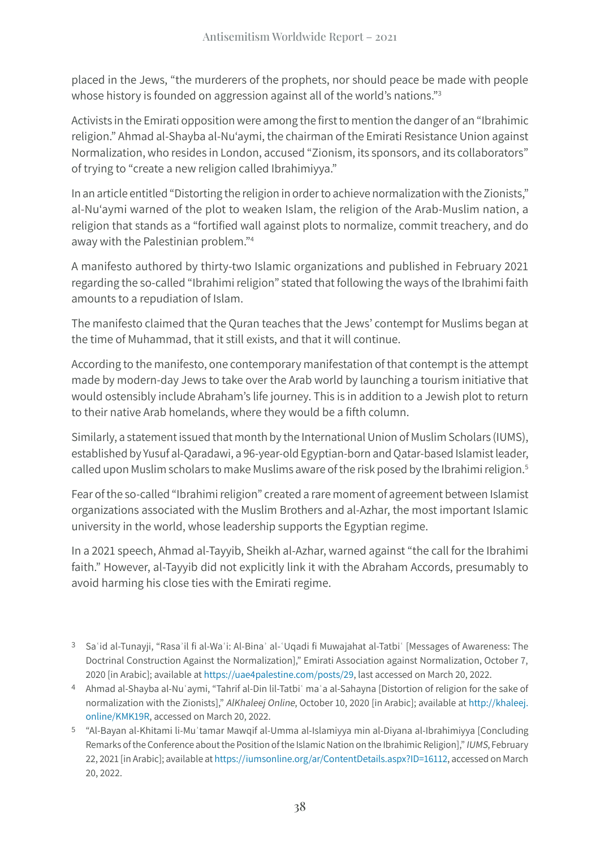placed in the Jews, "the murderers of the prophets, nor should peace be made with people whose history is founded on aggression against all of the world's nations."<sup>3</sup>

Activists in the Emirati opposition were among the first to mention the danger of an "Ibrahimic religion." Ahmad al-Shayba al-Nu'aymi, the chairman of the Emirati Resistance Union against Normalization, who resides in London, accused "Zionism, its sponsors, and its collaborators" of trying to "create a new religion called Ibrahimiyya."

In an article entitled "Distorting the religion in order to achieve normalization with the Zionists," al-Nu'aymi warned of the plot to weaken Islam, the religion of the Arab-Muslim nation, a religion that stands as a "fortified wall against plots to normalize, commit treachery, and do away with the Palestinian problem."4

A manifesto authored by thirty-two Islamic organizations and published in February 2021 regarding the so-called "Ibrahimi religion" stated that following the ways of the Ibrahimi faith amounts to a repudiation of Islam.

The manifesto claimed that the Quran teaches that the Jews' contempt for Muslims began at the time of Muhammad, that it still exists, and that it will continue.

According to the manifesto, one contemporary manifestation of that contempt is the attempt made by modern-day Jews to take over the Arab world by launching a tourism initiative that would ostensibly include Abraham's life journey. This is in addition to a Jewish plot to return to their native Arab homelands, where they would be a fifth column.

Similarly, a statement issued that month by the International Union of Muslim Scholars (IUMS), established by Yusuf al-Qaradawi, a 96-year-old Egyptian-born and Qatar-based Islamist leader, called upon Muslim scholars to make Muslims aware of the risk posed by the Ibrahimi religion.<sup>5</sup>

Fear of the so-called "Ibrahimi religion" created a rare moment of agreement between Islamist organizations associated with the Muslim Brothers and al-Azhar, the most important Islamic university in the world, whose leadership supports the Egyptian regime.

In a 2021 speech, Ahmad al-Tayyib, Sheikh al-Azhar, warned against "the call for the Ibrahimi faith." However, al-Tayyib did not explicitly link it with the Abraham Accords, presumably to avoid harming his close ties with the Emirati regime.

- 3 Saʿid al-Tunayji, "Rasaʾil fi al-Waʿi: Al-Binaʾ al-ʿUqadi fi Muwajahat al-Tatbiʿ [Messages of Awareness: The Doctrinal Construction Against the Normalization]," Emirati Association against Normalization, October 7, 2020 [in Arabic]; available at [https://uae4palestine.com/posts/29,](https://uae4palestine.com/posts/29%20) last accessed on March 20, 2022.
- 4 Ahmad al-Shayba al-Nuʿaymi, "Tahrif al-Din lil-Tatbiʿ maʿa al-Sahayna [Distortion of religion for the sake of normalization with the Zionists]," AlKhaleej Online, October 10, 2020 [in Arabic]; available at [http://khaleej.](http://khaleej.online/KMK19R) [online/KMK19R](http://khaleej.online/KMK19R), accessed on March 20, 2022.
- 5 "Al-Bayan al-Khitami li-Muʾtamar Mawqif al-Umma al-Islamiyya min al-Diyana al-Ibrahimiyya [Concluding Remarks of the Conference about the Position of the Islamic Nation on the Ibrahimic Religion]," IUMS, February 22, 2021 [in Arabic]; available at [https://iumsonline.org/ar/ContentDetails.aspx?ID=16112](https://iumsonline.org/ar/ContentDetails.aspx?ID=16112%20), accessed on March 20, 2022.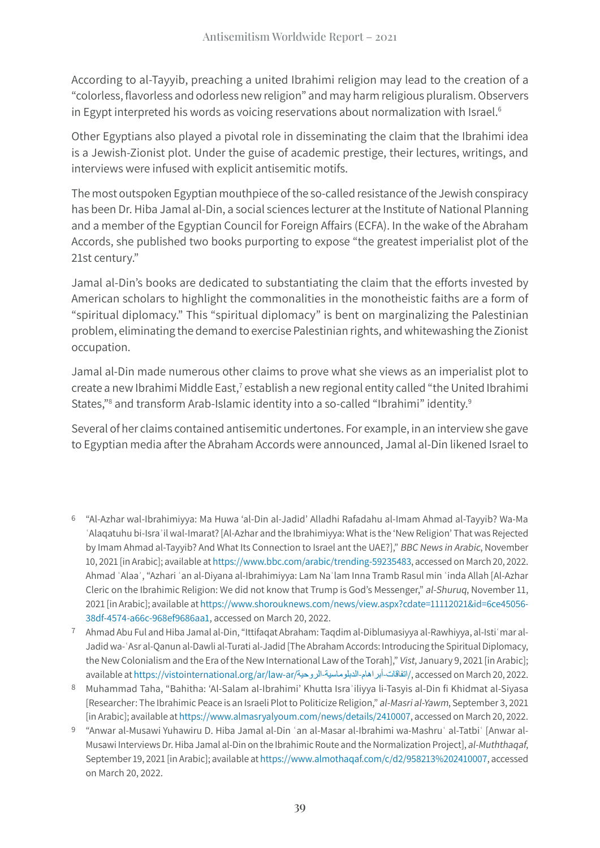According to al-Tayyib, preaching a united Ibrahimi religion may lead to the creation of a "colorless, flavorless and odorless new religion" and may harm religious pluralism. Observers in Egypt interpreted his words as voicing reservations about normalization with Israel.<sup>6</sup>

Other Egyptians also played a pivotal role in disseminating the claim that the Ibrahimi idea is a Jewish-Zionist plot. Under the guise of academic prestige, their lectures, writings, and interviews were infused with explicit antisemitic motifs.

The most outspoken Egyptian mouthpiece of the so-called resistance of the Jewish conspiracy has been Dr. Hiba Jamal al-Din, a social sciences lecturer at the Institute of National Planning and a member of the Egyptian Council for Foreign Affairs (ECFA). In the wake of the Abraham Accords, she published two books purporting to expose "the greatest imperialist plot of the 21st century."

Jamal al-Din's books are dedicated to substantiating the claim that the efforts invested by American scholars to highlight the commonalities in the monotheistic faiths are a form of "spiritual diplomacy." This "spiritual diplomacy" is bent on marginalizing the Palestinian problem, eliminating the demand to exercise Palestinian rights, and whitewashing the Zionist occupation.

Jamal al-Din made numerous other claims to prove what she views as an imperialist plot to create a new Ibrahimi Middle East,<sup>7</sup> establish a new regional entity called "the United Ibrahimi States,"<sup>8</sup> and transform Arab-Islamic identity into a so-called "Ibrahimi" identity.<sup>9</sup>

Several of her claims contained antisemitic undertones. For example, in an interview she gave to Egyptian media after the Abraham Accords were announced, Jamal al-Din likened Israel to

- 6 "Al-Azhar wal-Ibrahimiyya: Ma Huwa 'al-Din al-Jadid' Alladhi Rafadahu al-Imam Ahmad al-Tayyib? Wa-Ma ʿAlaqatuhu bi-Israʾil wal-Imarat? [Al-Azhar and the Ibrahimiyya: What is the 'New Religion' That was Rejected by Imam Ahmad al-Tayyib? And What Its Connection to Israel ant the UAE?]," BBC News in Arabic, November 10, 2021 [in Arabic]; available at [https://www.bbc.com/arabic/trending-59235483](https://www.bbc.com/arabic/trending-59235483%20), accessed on March 20, 2022. Ahmad ʿAlaaʾ, "Azhari ʿan al-Diyana al-Ibrahimiyya: Lam Naʿlam Inna Tramb Rasul min ʿinda Allah [Al-Azhar Cleric on the Ibrahimic Religion: We did not know that Trump is God's Messenger," al-Shuruq, November 11, 2021 [in Arabic]; available at [https://www.shorouknews.com/news/view.aspx?cdate=11112021&id=6ce45056-](https://www.shorouknews.com/news/view.aspx?cdate=11112021&id=6ce45056-38df-4574-a66c-968ef9686aa1) [38df-4574-a66c-968ef9686aa1,](https://www.shorouknews.com/news/view.aspx?cdate=11112021&id=6ce45056-38df-4574-a66c-968ef9686aa1) accessed on March 20, 2022.
- 7 Ahmad Abu Ful and Hiba Jamal al-Din, "Ittifaqat Abraham: Taqdim al-Diblumasiyya al-Rawhiyya, al-Istiʿmar al-Jadid wa-ʿAsr al-Qanun al-Dawli al-Turati al-Jadid [The Abraham Accords: Introducing the Spiritual Diplomacy, the New Colonialism and the Era of the New International Law of the Torah]," Vist, January 9, 2021 [in Arabic]; available at [https://vistointernational.org/ar/law-ar/](https://vistointernational.org/ar/law-ar/اتفاقات-أبراهام-الدبلوماسية-الروحية/)الروحية-الدبلوماسية-أبراهام-اتفاقات/, accessed on March 20, 2022.
- 8 Muhammad Taha, "Bahitha: 'Al-Salam al-Ibrahimi' Khutta Israʾiliyya li-Tasyis al-Din fi Khidmat al-Siyasa [Researcher: The Ibrahimic Peace is an Israeli Plot to Politicize Religion," al-Masri al-Yawm, September 3, 2021 [in Arabic]; available at<https://www.almasryalyoum.com/news/details/2410007>, accessed on March 20, 2022.
- 9 "Anwar al-Musawi Yuhawiru D. Hiba Jamal al-Din ʿan al-Masar al-Ibrahimi wa-Mashruʿ al-Tatbiʿ [Anwar al-Musawi Interviews Dr. Hiba Jamal al-Din on the Ibrahimic Route and the Normalization Project], al-Muththaqaf, September 19, 2021 [in Arabic]; available at https://www.almothaqaf[.com/c/d2/958213%202410007,](https://www.almothaqaf.com/c/d2/958213%202410007) accessed on March 20, 2022.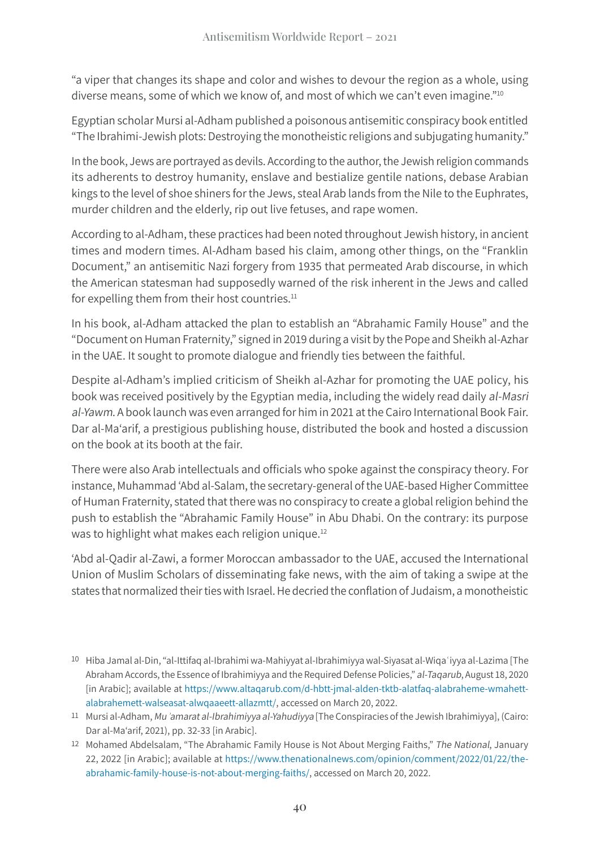"a viper that changes its shape and color and wishes to devour the region as a whole, using diverse means, some of which we know of, and most of which we can't even imagine."10

Egyptian scholar Mursi al-Adham published a poisonous antisemitic conspiracy book entitled "The Ibrahimi-Jewish plots: Destroying the monotheistic religions and subjugating humanity."

In the book, Jews are portrayed as devils. According to the author, the Jewish religion commands its adherents to destroy humanity, enslave and bestialize gentile nations, debase Arabian kings to the level of shoe shiners for the Jews, steal Arab lands from the Nile to the Euphrates, murder children and the elderly, rip out live fetuses, and rape women.

According to al-Adham, these practices had been noted throughout Jewish history, in ancient times and modern times. Al-Adham based his claim, among other things, on the "Franklin Document," an antisemitic Nazi forgery from 1935 that permeated Arab discourse, in which the American statesman had supposedly warned of the risk inherent in the Jews and called for expelling them from their host countries. $11$ 

In his book, al-Adham attacked the plan to establish an "Abrahamic Family House" and the "Document on Human Fraternity," signed in 2019 during a visit by the Pope and Sheikh al-Azhar in the UAE. It sought to promote dialogue and friendly ties between the faithful.

Despite al-Adham's implied criticism of Sheikh al-Azhar for promoting the UAE policy, his book was received positively by the Egyptian media, including the widely read daily al-Masri al-Yawm. A book launch was even arranged for him in 2021 at the Cairo International Book Fair. Dar al-Ma'arif, a prestigious publishing house, distributed the book and hosted a discussion on the book at its booth at the fair.

There were also Arab intellectuals and officials who spoke against the conspiracy theory. For instance, Muhammad 'Abd al-Salam, the secretary-general of the UAE-based Higher Committee of Human Fraternity, stated that there was no conspiracy to create a global religion behind the push to establish the "Abrahamic Family House" in Abu Dhabi. On the contrary: its purpose was to highlight what makes each religion unique.<sup>12</sup>

'Abd al-Qadir al-Zawi, a former Moroccan ambassador to the UAE, accused the International Union of Muslim Scholars of disseminating fake news, with the aim of taking a swipe at the states that normalized their ties with Israel. He decried the conflation of Judaism, a monotheistic

<sup>10</sup> Hiba Jamal al-Din, "al-Ittifaq al-Ibrahimi wa-Mahiyyat al-Ibrahimiyya wal-Siyasat al-Wiqaʿiyya al-Lazima [The Abraham Accords, the Essence of Ibrahimiyya and the Required Defense Policies," al-Taqarub, August 18, 2020 [in Arabic]; available at https://www.altaqarub[.com/d-hbtt-jmal-alden-tktb-](https://www.altaqarub.com/d-hbtt-jmal-alden-tktb-alatfaq-alabraheme-wmahett-alabrahemett-walseasat-alwqaaeett-allazmtt/)alatfaq-alabraheme-wmahett[alabrahemett-walseasat-](https://www.altaqarub.com/d-hbtt-jmal-alden-tktb-alatfaq-alabraheme-wmahett-alabrahemett-walseasat-alwqaaeett-allazmtt/)alwqaaeett-allazmtt/, accessed on March 20, 2022.

<sup>11</sup> Mursi al-Adham, Mu*<sup>ʾ</sup>*amarat al-Ibrahimiyya al-Yahudiyya [The Conspiracies of the Jewish Ibrahimiyya], (Cairo: Dar al-Ma'arif, 2021), pp. 32-33 [in Arabic].

<sup>12</sup> Mohamed Abdelsalam, "The Abrahamic Family House is Not About Merging Faiths," The National, January 22, 2022 [in Arabic]; available at [https://www.thenationalnews.com/opinion/comment/2022/01/22/the](https://www.thenationalnews.com/opinion/comment/2022/01/22/the-abrahamic-family-house-is-not-about-merging-faiths/%20)[abrahamic-family-house-is-not-about-merging-faiths/](https://www.thenationalnews.com/opinion/comment/2022/01/22/the-abrahamic-family-house-is-not-about-merging-faiths/%20), accessed on March 20, 2022.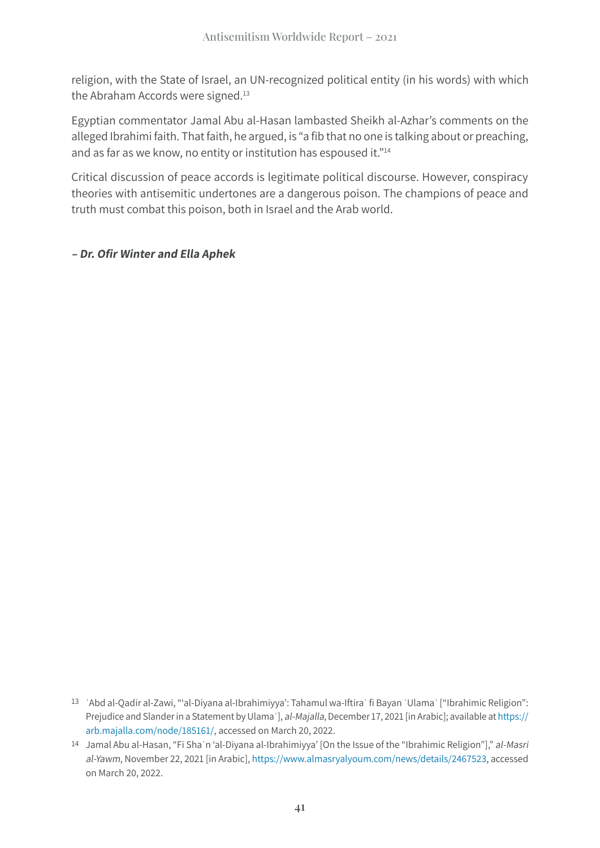religion, with the State of Israel, an UN-recognized political entity (in his words) with which the Abraham Accords were signed.<sup>13</sup>

Egyptian commentator Jamal Abu al-Hasan lambasted Sheikh al-Azhar's comments on the alleged Ibrahimi faith. That faith, he argued, is "a fib that no one is talking about or preaching, and as far as we know, no entity or institution has espoused it."14

Critical discussion of peace accords is legitimate political discourse. However, conspiracy theories with antisemitic undertones are a dangerous poison. The champions of peace and truth must combat this poison, both in Israel and the Arab world.

#### **– Dr. Ofir Winter and Ella Aphek**

<sup>13 &#</sup>x27;Abd al-Qadir al-Zawi, "'al-Diyana al-Ibrahimiyya': Tahamul wa-Iftira' fi Bayan 'Ulama' ["Ibrahimic Religion": Prejudice and Slander in a Statement by Ulama'], al-Majalla, December 17, 2021 [in Arabic]; available at [https://](https://arb.majalla.com/node/185161/) [arb.majalla.com/node/185161/](https://arb.majalla.com/node/185161/), accessed on March 20, 2022.

<sup>14</sup> Jamal Abu al-Hasan, "Fi Shaʾn 'al-Diyana al-Ibrahimiyya' [On the Issue of the "Ibrahimic Religion"]," al-Masri al-Yawm, November 22, 2021 [in Arabic], [https://www.almasryalyoum.com/news/details/2467523,](https://www.almasryalyoum.com/news/details/2467523%20) accessed on March 20, 2022.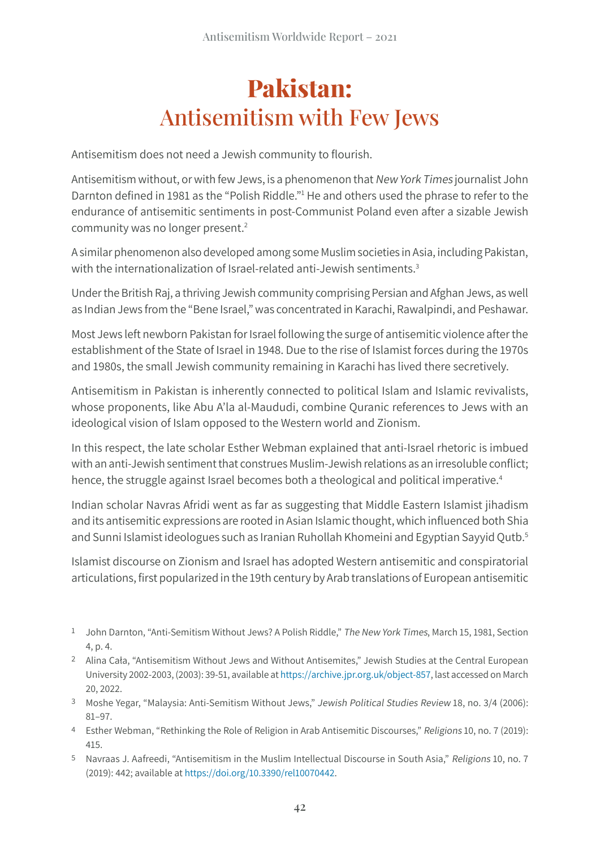## **Pakistan:** Antisemitism with Few Jews

Antisemitism does not need a Jewish community to flourish.

Antisemitism without, or with few Jews, is a phenomenon that New York Times journalist John Darnton defined in 1981 as the "Polish Riddle."<sup>1</sup> He and others used the phrase to refer to the endurance of antisemitic sentiments in post-Communist Poland even after a sizable Jewish community was no longer present.2

A similar phenomenon also developed among some Muslim societies in Asia, including Pakistan, with the internationalization of Israel-related anti-Jewish sentiments.<sup>3</sup>

Under the British Raj, a thriving Jewish community comprising Persian and Afghan Jews, as well as Indian Jews from the "Bene Israel," was concentrated in Karachi, Rawalpindi, and Peshawar.

Most Jews left newborn Pakistan for Israel following the surge of antisemitic violence after the establishment of the State of Israel in 1948. Due to the rise of Islamist forces during the 1970s and 1980s, the small Jewish community remaining in Karachi has lived there secretively.

Antisemitism in Pakistan is inherently connected to political Islam and Islamic revivalists, whose proponents, like Abu A'la al-Maududi, combine Quranic references to Jews with an ideological vision of Islam opposed to the Western world and Zionism.

In this respect, the late scholar Esther Webman explained that anti-Israel rhetoric is imbued with an anti-Jewish sentiment that construes Muslim-Jewish relations as an irresoluble conflict; hence, the struggle against Israel becomes both a theological and political imperative.<sup>4</sup>

Indian scholar Navras Afridi went as far as suggesting that Middle Eastern Islamist jihadism and its antisemitic expressions are rooted in Asian Islamic thought, which influenced both Shia and Sunni Islamist ideologues such as Iranian Ruhollah Khomeini and Egyptian Sayyid Qutb.<sup>5</sup>

Islamist discourse on Zionism and Israel has adopted Western antisemitic and conspiratorial articulations, first popularized in the 19th century by Arab translations of European antisemitic

- 1 John Darnton, "Anti-Semitism Without Jews? A Polish Riddle," The New York Times, March 15, 1981, Section 4, p. 4.
- 2 Alina Cała, "Antisemitism Without Jews and Without Antisemites," Jewish Studies at the Central European University 2002-2003, (2003): 39-51, available at [https://archive.jpr.org.uk/object-857,](https://archive.jpr.org.uk/object-857) last accessed on March 20, 2022.
- 3 Moshe Yegar, "Malaysia: Anti-Semitism Without Jews," Jewish Political Studies Review 18, no. 3/4 (2006): 81–97.
- 4 Esther Webman, "Rethinking the Role of Religion in Arab Antisemitic Discourses," Religions 10, no. 7 (2019): 415.
- 5 Navraas J. Aafreedi, "Antisemitism in the Muslim Intellectual Discourse in South Asia," Religions 10, no. 7 (2019): 442; available at<https://doi.org/10.3390/rel10070442>.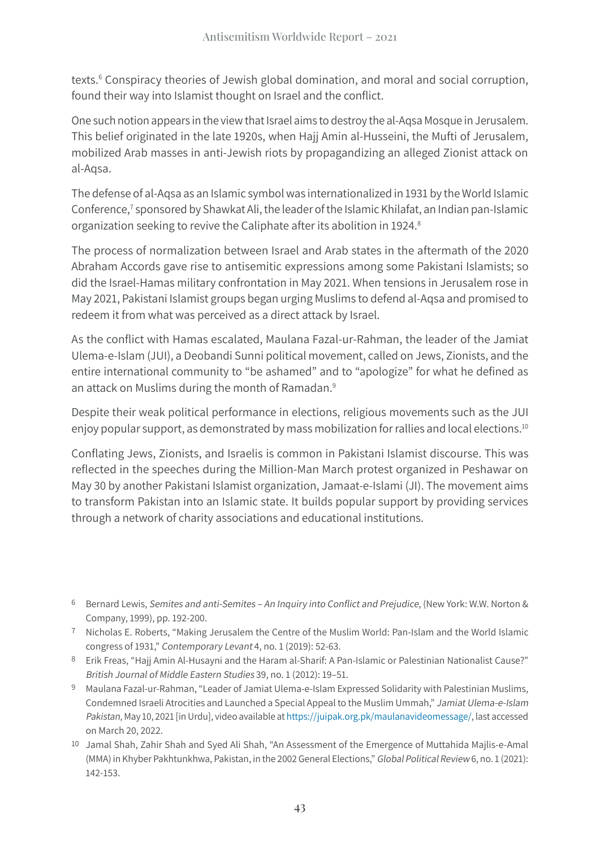texts.<sup>6</sup> Conspiracy theories of Jewish global domination, and moral and social corruption, found their way into Islamist thought on Israel and the conflict.

One such notion appears in the view that Israel aims to destroy the al-Aqsa Mosque in Jerusalem. This belief originated in the late 1920s, when Hajj Amin al-Husseini, the Mufti of Jerusalem, mobilized Arab masses in anti-Jewish riots by propagandizing an alleged Zionist attack on al-Aqsa.

The defense of al-Aqsa as an Islamic symbol was internationalized in 1931 by the World Islamic Conference,<sup>7</sup> sponsored by Shawkat Ali, the leader of the Islamic Khilafat, an Indian pan-Islamic organization seeking to revive the Caliphate after its abolition in 1924.<sup>8</sup>

The process of normalization between Israel and Arab states in the aftermath of the 2020 Abraham Accords gave rise to antisemitic expressions among some Pakistani Islamists; so did the Israel-Hamas military confrontation in May 2021. When tensions in Jerusalem rose in May 2021, Pakistani Islamist groups began urging Muslims to defend al-Aqsa and promised to redeem it from what was perceived as a direct attack by Israel.

As the conflict with Hamas escalated, Maulana Fazal-ur-Rahman, the leader of the Jamiat Ulema-e-Islam (JUI), a Deobandi Sunni political movement, called on Jews, Zionists, and the entire international community to "be ashamed" and to "apologize" for what he defined as an attack on Muslims during the month of Ramadan.<sup>9</sup>

Despite their weak political performance in elections, religious movements such as the JUI enjoy popular support, as demonstrated by mass mobilization for rallies and local elections.10

Conflating Jews, Zionists, and Israelis is common in Pakistani Islamist discourse. This was reflected in the speeches during the Million-Man March protest organized in Peshawar on May 30 by another Pakistani Islamist organization, Jamaat-e-Islami (JI). The movement aims to transform Pakistan into an Islamic state. It builds popular support by providing services through a network of charity associations and educational institutions.

- 8 Erik Freas, "Hajj Amin Al-Husayni and the Haram al-Sharif: A Pan-Islamic or Palestinian Nationalist Cause?" British Journal of Middle Eastern Studies 39, no. 1 (2012): 19–51.
- 9 Maulana Fazal-ur-Rahman, "Leader of Jamiat Ulema-e-Islam Expressed Solidarity with Palestinian Muslims, Condemned Israeli Atrocities and Launched a Special Appeal to the Muslim Ummah," Jamiat Ulema-e-Islam Pakistan, May 10, 2021 [in Urdu], video available at<https://juipak.org.pk/maulanavideomessage/>, last accessed on March 20, 2022.
- 10 Jamal Shah, Zahir Shah and Syed Ali Shah, "An Assessment of the Emergence of Muttahida Majlis-e-Amal (MMA) in Khyber Pakhtunkhwa, Pakistan, in the 2002 General Elections," Global Political Review 6, no. 1 (2021): 142-153.

<sup>6</sup> Bernard Lewis, Semites and anti-Semites – An Inquiry into Conflict and Prejudice, (New York: W.W. Norton & Company, 1999), pp. 192-200.

<sup>7</sup> Nicholas E. Roberts, "Making Jerusalem the Centre of the Muslim World: Pan-Islam and the World Islamic congress of 1931," Contemporary Levant 4, no. 1 (2019): 52-63.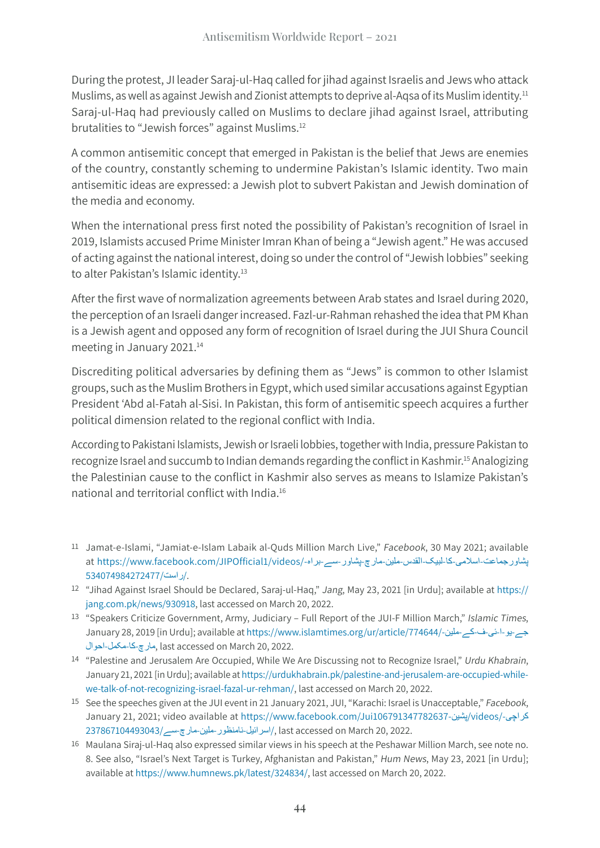During the protest, JI leader Saraj-ul-Haq called for jihad against Israelis and Jews who attack Muslims, as well as against Jewish and Zionist attempts to deprive al-Aqsa of its Muslim identity.<sup>11</sup> Saraj-ul-Haq had previously called on Muslims to declare jihad against Israel, attributing brutalities to "Jewish forces" against Muslims.12

A common antisemitic concept that emerged in Pakistan is the belief that Jews are enemies of the country, constantly scheming to undermine Pakistan's Islamic identity. Two main antisemitic ideas are expressed: a Jewish plot to subvert Pakistan and Jewish domination of the media and economy.

When the international press first noted the possibility of Pakistan's recognition of Israel in 2019, Islamists accused Prime Minister Imran Khan of being a "Jewish agent." He was accused of acting against the national interest, doing so under the control of "Jewish lobbies" seeking to alter Pakistan's Islamic identity.<sup>13</sup>

After the first wave of normalization agreements between Arab states and Israel during 2020, the perception of an Israeli danger increased. Fazl-ur-Rahman rehashed the idea that PM Khan is a Jewish agent and opposed any form of recognition of Israel during the JUI Shura Council meeting in January 2021.<sup>14</sup>

Discrediting political adversaries by defining them as "Jews" is common to other Islamist groups, such as the Muslim Brothers in Egypt, which used similar accusations against Egyptian President 'Abd al-Fatah al-Sisi. In Pakistan, this form of antisemitic speech acquires a further political dimension related to the regional conflict with India.

According to Pakistani Islamists, Jewish or Israeli lobbies, together with India, pressure Pakistan to recognize Israel and succumb to Indian demands regarding the conflict in Kashmir.15 Analogizing the Palestinian cause to the conflict in Kashmir also serves as means to Islamize Pakistan's national and territorial conflict with India.<sup>16</sup>

- 11 Jamat-e-Islami, "Jamiat-e-Islam Labaik al-Quds Million March Live," Facebook, 30 May 2021; available پشاورجماعت-اسلامی-کا-لبیک-القدس-ملین-مارچ-پشاور-سے-براہ-/at https://www.facebook.com/JIPOfficial1/videos /.[راست](https://www.facebook.com/JIPOfficial1/videos/%D9%BE%D8%B4%D8%A7%D9%88%D8%B1%D8%AC%D9%85%D8%A7%D8%B9%D8%AA-%D8%A7%D8%B3%D9%84%D8%A7%D9%85%DB%8C-%DA%A9%D8%A7-%D9%84%D8%A8%DB%8C%DA%A9-%D8%A7%D9%84%D9%82%D8%AF%D8%B3-%D9%85%D9%84%DB%8C%D9%86-%D9%85%D8%A7%D8%B1%DA%86-%D9%BE%D8%B4%D8%A7%D9%88%D8%B1-%D8%B3%DB%92-%D8%A8%D8%B1%D8%A7%DB%81-%D8%B1%D8%A7%D8%B3%D8%AA/534074984272477/)[534074984272477/](https://www.facebook.com/JIPOfficial1/videos/%D9%BE%D8%B4%D8%A7%D9%88%D8%B1%D8%AC%D9%85%D8%A7%D8%B9%D8%AA-%D8%A7%D8%B3%D9%84%D8%A7%D9%85%DB%8C-%DA%A9%D8%A7-%D9%84%D8%A8%DB%8C%DA%A9-%D8%A7%D9%84%D9%82%D8%AF%D8%B3-%D9%85%D9%84%DB%8C%D9%86-%D9%85%D8%A7%D8%B1%DA%86-%D9%BE%D8%B4%D8%A7%D9%88%D8%B1-%D8%B3%DB%92-%D8%A8%D8%B1%D8%A7%DB%81-%D8%B1%D8%A7%D8%B3%D8%AA/534074984272477/)
- 12 "Jihad Against Israel Should be Declared, Saraj-ul-Haq," Jang, May 23, 2021 [in Urdu]; available at [https://](https://jang.com.pk/news/930918) [jang.com.pk/news/930918,](https://jang.com.pk/news/930918) last accessed on March 20, 2022.
- 13 "Speakers Criticize Government, Army, Judiciary Full Report of the JUI-F Million March," Islamic Times, January 28, 2019 [in Urdu]; available at [https://www.islamtimes.org/ur/article/774644/-](https://www.islamtimes.org/ur/article/774644/%D8%AC%DB%92-%DB%8C%D9%88-%D8%A7-%D8%A6%DB%8C-%D9%81-%DA%A9%DB%92-%D9%85%D9%84%DB%8C%D9%86-%D9%85%D8%A7%D8%B1%DA%86-%DA%A9%D8%A7-%D9%85%DA%A9%D9%85%D9%84-%D8%A7%D8%AD%D9%88%D8%A7%D9%84)ملین-کے-ف-ئی-ا-یو-جے 2022. 20, March on accessed last ,[مارچ](https://www.islamtimes.org/ur/article/774644/%D8%AC%DB%92-%DB%8C%D9%88-%D8%A7-%D8%A6%DB%8C-%D9%81-%DA%A9%DB%92-%D9%85%D9%84%DB%8C%D9%86-%D9%85%D8%A7%D8%B1%DA%86-%DA%A9%D8%A7-%D9%85%DA%A9%D9%85%D9%84-%D8%A7%D8%AD%D9%88%D8%A7%D9%84)-کا-مکمل-[احوال](https://www.islamtimes.org/ur/article/774644/%D8%AC%DB%92-%DB%8C%D9%88-%D8%A7-%D8%A6%DB%8C-%D9%81-%DA%A9%DB%92-%D9%85%D9%84%DB%8C%D9%86-%D9%85%D8%A7%D8%B1%DA%86-%DA%A9%D8%A7-%D9%85%DA%A9%D9%85%D9%84-%D8%A7%D8%AD%D9%88%D8%A7%D9%84)
- 14 "Palestine and Jerusalem Are Occupied, While We Are Discussing not to Recognize Israel," Urdu Khabrain, January 21, 2021 [in Urdu]; available at [https://urdukhabrain.pk/palestine-and-jerusalem-are-occupied-while](https://urdukhabrain.pk/palestine-and-jerusalem-are-occupied-while-we-talk-of-not-recognizing-israel-fazal-ur-rehman/)[we-talk-of-not-recognizing-israel-fazal-ur-rehman/,](https://urdukhabrain.pk/palestine-and-jerusalem-are-occupied-while-we-talk-of-not-recognizing-israel-fazal-ur-rehman/) last accessed on March 20, 2022.
- 15 See the speeches given at the JUI event in 21 January 2021, JUI, "Karachi: Israel is Unacceptable," Facebook, January 21, 2021; video available at [https://www.facebook.com/Jui106791347782637-](https://www.facebook.com/Jui%D9%BE%D8%B4%DB%8C%D9%86-106791347782637/videos/%DA%A9%D8%B1%D8%A7%DA%86%DB%8C-%D8%A7%D8%B3%D8%B1%D8%A7%D8%A6%DB%8C%D9%84-%D9%86%D8%A7%D9%85%D9%86%D8%B8%D9%88%D8%B1-%D9%85%D9%84%DB%8C%D9%86-%D9%85%D8%A7%D8%B1%DA%86-%D8%B3%DB%92/237867104493043/)پشین/videos/-کراچی 2022. 20, March on accessed last /,[اسرائیل](https://www.facebook.com/Jui%D9%BE%D8%B4%DB%8C%D9%86-106791347782637/videos/%DA%A9%D8%B1%D8%A7%DA%86%DB%8C-%D8%A7%D8%B3%D8%B1%D8%A7%D8%A6%DB%8C%D9%84-%D9%86%D8%A7%D9%85%D9%86%D8%B8%D9%88%D8%B1-%D9%85%D9%84%DB%8C%D9%86-%D9%85%D8%A7%D8%B1%DA%86-%D8%B3%DB%92/237867104493043/)-نامنظور-ملین-مارچ-سے[237867104493043/](https://www.facebook.com/Jui%D9%BE%D8%B4%DB%8C%D9%86-106791347782637/videos/%DA%A9%D8%B1%D8%A7%DA%86%DB%8C-%D8%A7%D8%B3%D8%B1%D8%A7%D8%A6%DB%8C%D9%84-%D9%86%D8%A7%D9%85%D9%86%D8%B8%D9%88%D8%B1-%D9%85%D9%84%DB%8C%D9%86-%D9%85%D8%A7%D8%B1%DA%86-%D8%B3%DB%92/237867104493043/)
- 16 Maulana Siraj-ul-Haq also expressed similar views in his speech at the Peshawar Million March, see note no. 8. See also, "Israel's Next Target is Turkey, Afghanistan and Pakistan," Hum News, May 23, 2021 [in Urdu]; available at<https://www.humnews.pk/latest/324834/>, last accessed on March 20, 2022.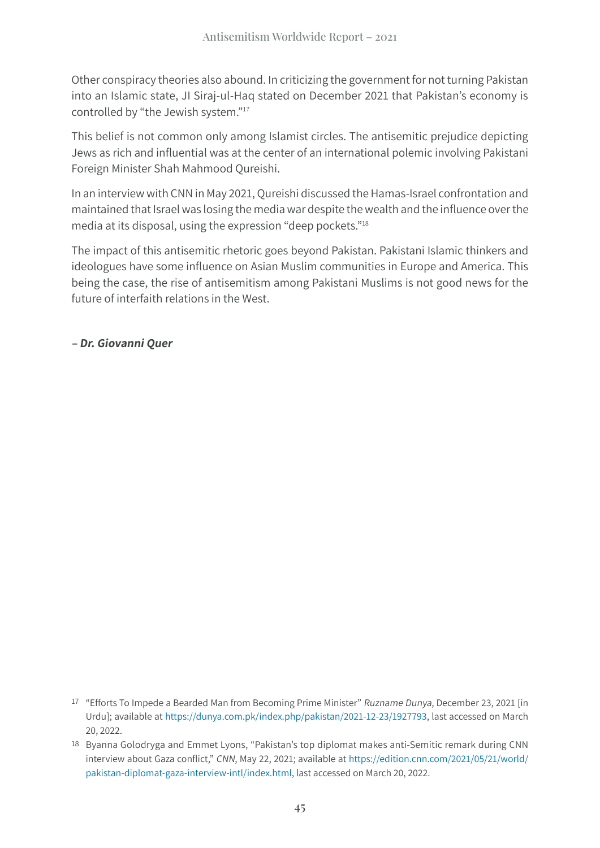Other conspiracy theories also abound. In criticizing the government for not turning Pakistan into an Islamic state, JI Siraj-ul-Haq stated on December 2021 that Pakistan's economy is controlled by "the Jewish system."17

This belief is not common only among Islamist circles. The antisemitic prejudice depicting Jews as rich and influential was at the center of an international polemic involving Pakistani Foreign Minister Shah Mahmood Qureishi.

In an interview with CNN in May 2021, Qureishi discussed the Hamas-Israel confrontation and maintained that Israel was losing the media war despite the wealth and the influence over the media at its disposal, using the expression "deep pockets."18

The impact of this antisemitic rhetoric goes beyond Pakistan. Pakistani Islamic thinkers and ideologues have some influence on Asian Muslim communities in Europe and America. This being the case, the rise of antisemitism among Pakistani Muslims is not good news for the future of interfaith relations in the West.

**– Dr. Giovanni Quer**

<sup>17</sup> "Efforts To Impede a Bearded Man from Becoming Prime Minister" Ruzname Dunya, December 23, 2021 [in Urdu]; available at [https://dunya.com.pk/index.php/pakistan/2021-12-23/1927793,](https://dunya.com.pk/index.php/pakistan/2021-12-23/1927793) last accessed on March 20, 2022.

<sup>18</sup> Byanna Golodryga and Emmet Lyons, "Pakistan's top diplomat makes anti-Semitic remark during CNN interview about Gaza conflict," CNN, May 22, 2021; available at [https://edition.cnn.com/2021/05/21/world/](https://edition.cnn.com/2021/05/21/world/pakistan-diplomat-gaza-interview-intl/index.html) [pakistan-diplomat-gaza-interview-intl/index.html,](https://edition.cnn.com/2021/05/21/world/pakistan-diplomat-gaza-interview-intl/index.html) last accessed on March 20, 2022.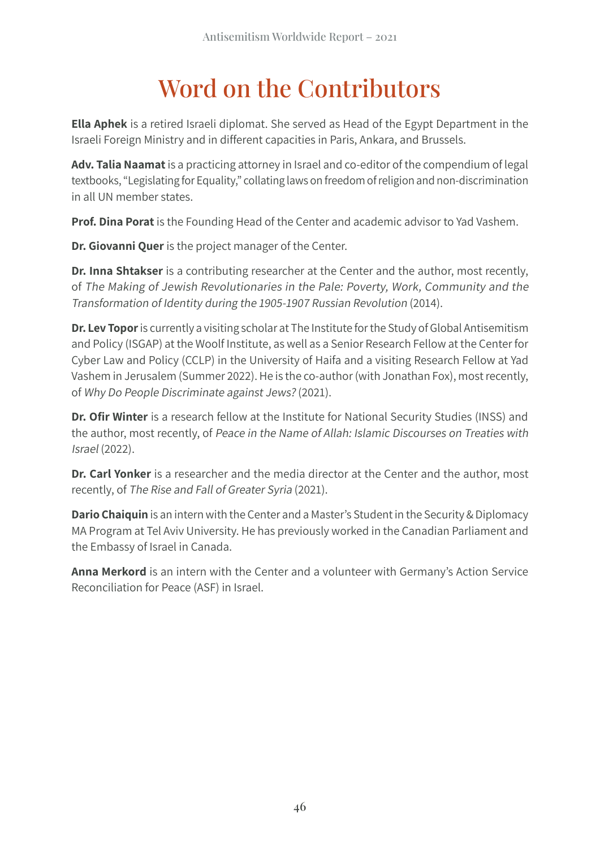## Word on the Contributors

**Ella Aphek** is a retired Israeli diplomat. She served as Head of the Egypt Department in the Israeli Foreign Ministry and in different capacities in Paris, Ankara, and Brussels.

**Adv. Talia Naamat** is a practicing attorney in Israel and co-editor of the compendium of legal textbooks, "Legislating for Equality," collating laws on freedom of religion and non-discrimination in all UN member states.

**Prof. Dina Porat** is the Founding Head of the Center and academic advisor to Yad Vashem.

**Dr. Giovanni Quer** is the project manager of the Center.

**Dr. Inna Shtakser** is a contributing researcher at the Center and the author, most recently, of The Making of Jewish Revolutionaries in the Pale: Poverty, Work, Community and the Transformation of Identity during the 1905-1907 Russian Revolution (2014).

**Dr. Lev Topor** is currently a visiting scholar at The Institute for the Study of Global Antisemitism and Policy (ISGAP) at the Woolf Institute, as well as a Senior Research Fellow at the Center for Cyber Law and Policy (CCLP) in the University of Haifa and a visiting Research Fellow at Yad Vashem in Jerusalem (Summer 2022). He is the co-author (with Jonathan Fox), most recently, of Why Do People Discriminate against Jews? (2021).

**Dr. Ofir Winter** is a research fellow at the Institute for National Security Studies (INSS) and the author, most recently, of Peace in the Name of Allah: Islamic Discourses on Treaties with Israel (2022).

**Dr. Carl Yonker** is a researcher and the media director at the Center and the author, most recently, of The Rise and Fall of Greater Syria (2021).

**Dario Chaiquin** is an intern with the Center and a Master's Student in the Security & Diplomacy MA Program at Tel Aviv University. He has previously worked in the Canadian Parliament and the Embassy of Israel in Canada.

**Anna Merkord** is an intern with the Center and a volunteer with Germany's Action Service Reconciliation for Peace (ASF) in Israel.